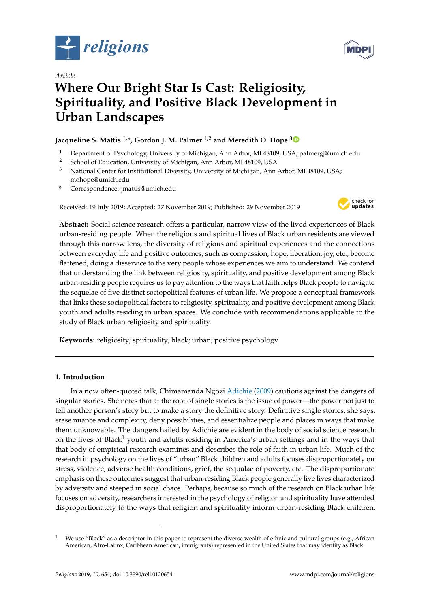

*Article*

# **Where Our Bright Star Is Cast: Religiosity, Spirituality, and Positive Black Development in Urban Landscapes**

# **Jacqueline S. Mattis 1,\*, Gordon J. M. Palmer 1,2 and Meredith O. Hope [3](https://orcid.org/0000-0003-2963-5969)**

- <sup>1</sup> Department of Psychology, University of Michigan, Ann Arbor, MI 48109, USA; palmergj@umich.edu<br><sup>2</sup> Seboal of Education, University of Michigan, Ann Arbor, MI 48109, USA
- <sup>2</sup> School of Education, University of Michigan, Ann Arbor, MI 48109, USA
- <sup>3</sup> National Center for Institutional Diversity, University of Michigan, Ann Arbor, MI 48109, USA; mohope@umich.edu
- **\*** Correspondence: jmattis@umich.edu

Received: 19 July 2019; Accepted: 27 November 2019; Published: 29 November 2019



**Abstract:** Social science research offers a particular, narrow view of the lived experiences of Black urban-residing people. When the religious and spiritual lives of Black urban residents are viewed through this narrow lens, the diversity of religious and spiritual experiences and the connections between everyday life and positive outcomes, such as compassion, hope, liberation, joy, etc., become flattened, doing a disservice to the very people whose experiences we aim to understand. We contend that understanding the link between religiosity, spirituality, and positive development among Black urban-residing people requires us to pay attention to the ways that faith helps Black people to navigate the sequelae of five distinct sociopolitical features of urban life. We propose a conceptual framework that links these sociopolitical factors to religiosity, spirituality, and positive development among Black youth and adults residing in urban spaces. We conclude with recommendations applicable to the study of Black urban religiosity and spirituality.

**Keywords:** religiosity; spirituality; black; urban; positive psychology

# **1. Introduction**

In a now often-quoted talk, Chimamanda Ngozi [Adichie](#page-18-0) [\(2009\)](#page-18-0) cautions against the dangers of singular stories. She notes that at the root of single stories is the issue of power—the power not just to tell another person's story but to make a story the definitive story. Definitive single stories, she says, erase nuance and complexity, deny possibilities, and essentialize people and places in ways that make them unknowable. The dangers hailed by Adichie are evident in the body of social science research on the lives of Black<sup>1</sup> youth and adults residing in America's urban settings and in the ways that that body of empirical research examines and describes the role of faith in urban life. Much of the research in psychology on the lives of "urban" Black children and adults focuses disproportionately on stress, violence, adverse health conditions, grief, the sequalae of poverty, etc. The disproportionate emphasis on these outcomes suggest that urban-residing Black people generally live lives characterized by adversity and steeped in social chaos. Perhaps, because so much of the research on Black urban life focuses on adversity, researchers interested in the psychology of religion and spirituality have attended disproportionately to the ways that religion and spirituality inform urban-residing Black children,



<sup>&</sup>lt;sup>1</sup> We use "Black" as a descriptor in this paper to represent the diverse wealth of ethnic and cultural groups (e.g., African American, Afro-Latinx, Caribbean American, immigrants) represented in the United States that may identify as Black.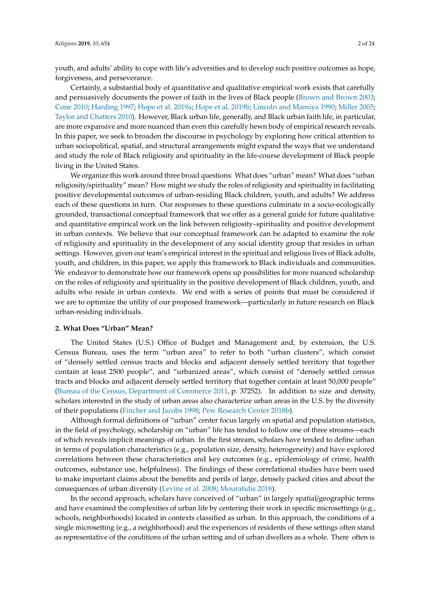youth, and adults' ability to cope with life's adversities and to develop such positive outcomes as hope, forgiveness, and perseverance.

Certainly, a substantial body of quantitative and qualitative empirical work exists that carefully and persuasively documents the power of faith in the lives of Black people [\(Brown and Brown](#page-18-1) [2003;](#page-18-1) [Cone](#page-18-2) [2010;](#page-18-2) [Harding](#page-19-0) [1997;](#page-19-0) [Hope et al.](#page-20-0) [2019a;](#page-20-0) [Hope et al.](#page-20-1) [2019b;](#page-20-1) [Lincoln and Mamiya](#page-20-2) [1990;](#page-20-2) [Miller](#page-21-0) [2005;](#page-21-0) [Taylor and Chatters](#page-22-0) [2010\)](#page-22-0). However, Black urban life, generally, and Black urban faith life, in particular, are more expansive and more nuanced than even this carefully hewn body of empirical research reveals. In this paper, we seek to broaden the discourse in psychology by exploring how critical attention to urban sociopolitical, spatial, and structural arrangements might expand the ways that we understand and study the role of Black religiosity and spirituality in the life-course development of Black people living in the United States.

We organize this work around three broad questions: What does "urban" mean? What does "urban religiosity/spirituality" mean? How might we study the roles of religiosity and spirituality in facilitating positive developmental outcomes of urban-residing Black children, youth, and adults? We address each of these questions in turn. Our responses to these questions culminate in a socio-ecologically grounded, transactional conceptual framework that we offer as a general guide for future qualitative and quantitative empirical work on the link between religiosity–spirituality and positive development in urban contexts. We believe that our conceptual framework can be adapted to examine the role of religiosity and spirituality in the development of any social identity group that resides in urban settings. However, given our team's empirical interest in the spiritual and religious lives of Black adults, youth, and children, in this paper, we apply this framework to Black individuals and communities. We endeavor to demonstrate how our framework opens up possibilities for more nuanced scholarship on the roles of religiosity and spirituality in the positive development of Black children, youth, and adults who reside in urban contexts. We end with a series of points that must be considered if we are to optimize the utility of our proposed framework—particularly in future research on Black urban-residing individuals.

## **2. What Does "Urban" Mean?**

The United States (U.S.) Office of Budget and Management and, by extension, the U.S. Census Bureau, uses the term "urban area" to refer to both "urban clusters", which consist of "densely settled census tracts and blocks and adjacent densely settled territory that together contain at least 2500 people", and "urbanized areas", which consist of "densely settled census tracts and blocks and adjacent densely settled territory that together contain at least 50,000 people" [\(Bureau of the Census, Department of Commerce](#page-18-3) [2011,](#page-18-3) p. 37252). In addition to size and density, scholars interested in the study of urban areas also characterize urban areas in the U.S. by the diversity of their populations [\(Fincher and Jacobs](#page-19-1) [1998;](#page-19-1) [Pew Research Center](#page-22-1) [2018b\)](#page-22-1).

Although formal definitions of "urban" center focus largely on spatial and population statistics, in the field of psychology, scholarship on "urban" life has tended to follow one of three streams—each of which reveals implicit meanings of urban. In the first stream, scholars have tended to define urban in terms of population characteristics (e.g., population size, density, heterogeneity) and have explored correlations between these characteristics and key outcomes (e.g., epidemiology of crime, health outcomes, substance use, helpfulness). The findings of these correlational studies have been used to make important claims about the benefits and perils of large, densely packed cities and about the consequences of urban diversity [\(Levine et al.](#page-20-3) [2008;](#page-20-3) [Mouratidis](#page-21-1) [2018\)](#page-21-1).

In the second approach, scholars have conceived of "urban" in largely spatial/geographic terms and have examined the complexities of urban life by centering their work in specific microsettings (e.g., schools, neighborhoods) located in contexts classified as urban. In this approach, the conditions of a single microsetting (e.g., a neighborhood) and the experiences of residents of these settings often stand as representative of the conditions of the urban setting and of urban dwellers as a whole. There often is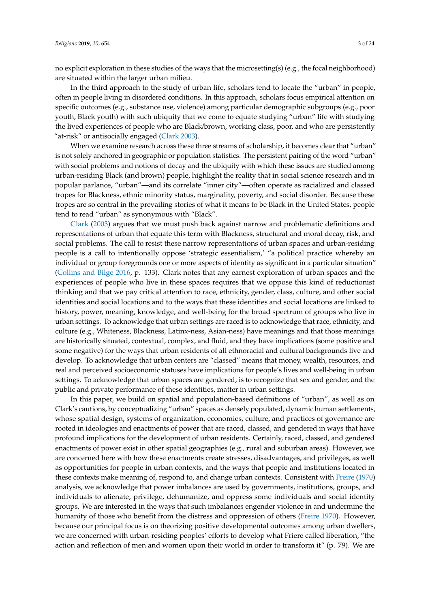no explicit exploration in these studies of the ways that the microsetting(s) (e.g., the focal neighborhood) are situated within the larger urban milieu.

In the third approach to the study of urban life, scholars tend to locate the "urban" in people, often in people living in disordered conditions. In this approach, scholars focus empirical attention on specific outcomes (e.g., substance use, violence) among particular demographic subgroups (e.g., poor youth, Black youth) with such ubiquity that we come to equate studying "urban" life with studying the lived experiences of people who are Black/brown, working class, poor, and who are persistently "at-risk" or antisocially engaged [\(Clark](#page-18-4) [2003\)](#page-18-4).

When we examine research across these three streams of scholarship, it becomes clear that "urban" is not solely anchored in geographic or population statistics. The persistent pairing of the word "urban" with social problems and notions of decay and the ubiquity with which these issues are studied among urban-residing Black (and brown) people, highlight the reality that in social science research and in popular parlance, "urban"—and its correlate "inner city"—often operate as racialized and classed tropes for Blackness, ethnic minority status, marginality, poverty, and social disorder. Because these tropes are so central in the prevailing stories of what it means to be Black in the United States, people tend to read "urban" as synonymous with "Black".

[Clark](#page-18-4) [\(2003\)](#page-18-4) argues that we must push back against narrow and problematic definitions and representations of urban that equate this term with Blackness, structural and moral decay, risk, and social problems. The call to resist these narrow representations of urban spaces and urban-residing people is a call to intentionally oppose 'strategic essentialism,' "a political practice whereby an individual or group foregrounds one or more aspects of identity as significant in a particular situation" [\(Collins and Bilge](#page-18-5) [2016,](#page-18-5) p. 133). Clark notes that any earnest exploration of urban spaces and the experiences of people who live in these spaces requires that we oppose this kind of reductionist thinking and that we pay critical attention to race, ethnicity, gender, class, culture, and other social identities and social locations and to the ways that these identities and social locations are linked to history, power, meaning, knowledge, and well-being for the broad spectrum of groups who live in urban settings. To acknowledge that urban settings are raced is to acknowledge that race, ethnicity, and culture (e.g., Whiteness, Blackness, Latinx-ness, Asian-ness) have meanings and that those meanings are historically situated, contextual, complex, and fluid, and they have implications (some positive and some negative) for the ways that urban residents of all ethnoracial and cultural backgrounds live and develop. To acknowledge that urban centers are "classed" means that money, wealth, resources, and real and perceived socioeconomic statuses have implications for people's lives and well-being in urban settings. To acknowledge that urban spaces are gendered, is to recognize that sex and gender, and the public and private performance of these identities, matter in urban settings.

In this paper, we build on spatial and population-based definitions of "urban", as well as on Clark's cautions, by conceptualizing "urban" spaces as densely populated, dynamic human settlements, whose spatial design, systems of organization, economies, culture, and practices of governance are rooted in ideologies and enactments of power that are raced, classed, and gendered in ways that have profound implications for the development of urban residents. Certainly, raced, classed, and gendered enactments of power exist in other spatial geographies (e.g., rural and suburban areas). However, we are concerned here with how these enactments create stresses, disadvantages, and privileges, as well as opportunities for people in urban contexts, and the ways that people and institutions located in these contexts make meaning of, respond to, and change urban contexts. Consistent with [Freire](#page-19-2) [\(1970\)](#page-19-2) analysis, we acknowledge that power imbalances are used by governments, institutions, groups, and individuals to alienate, privilege, dehumanize, and oppress some individuals and social identity groups. We are interested in the ways that such imbalances engender violence in and undermine the humanity of those who benefit from the distress and oppression of others [\(Freire](#page-19-2) [1970\)](#page-19-2). However, because our principal focus is on theorizing positive developmental outcomes among urban dwellers, we are concerned with urban-residing peoples' efforts to develop what Friere called liberation, "the action and reflection of men and women upon their world in order to transform it" (p. 79). We are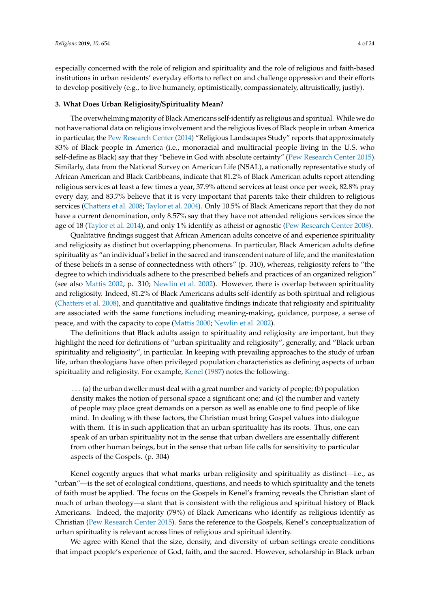especially concerned with the role of religion and spirituality and the role of religious and faith-based institutions in urban residents' everyday efforts to reflect on and challenge oppression and their efforts to develop positively (e.g., to live humanely, optimistically, compassionately, altruistically, justly).

#### **3. What Does Urban Religiosity**/**Spirituality Mean?**

The overwhelming majority of Black Americans self-identify as religious and spiritual. While we do not have national data on religious involvement and the religious lives of Black people in urban America in particular, the [Pew Research Center](#page-21-2) [\(2014\)](#page-21-2) "Religious Landscapes Study" reports that approximately 83% of Black people in America (i.e., monoracial and multiracial people living in the U.S. who self-define as Black) say that they "believe in God with absolute certainty" [\(Pew Research Center](#page-21-3) [2015\)](#page-21-3). Similarly, data from the National Survey on American Life (NSAL), a nationally representative study of African American and Black Caribbeans, indicate that 81.2% of Black American adults report attending religious services at least a few times a year, 37.9% attend services at least once per week, 82.8% pray every day, and 83.7% believe that it is very important that parents take their children to religious services [\(Chatters et al.](#page-18-6) [2008;](#page-18-6) [Taylor et al.](#page-22-2) [2004\)](#page-22-2). Only 10.5% of Black Americans report that they do not have a current denomination, only 8.57% say that they have not attended religious services since the age of 18 [\(Taylor et al.](#page-22-3) [2014\)](#page-22-3), and only 1% identify as atheist or agnostic [\(Pew Research Center](#page-21-4) [2008\)](#page-21-4).

Qualitative findings suggest that African American adults conceive of and experience spirituality and religiosity as distinct but overlapping phenomena. In particular, Black American adults define spirituality as "an individual's belief in the sacred and transcendent nature of life, and the manifestation of these beliefs in a sense of connectedness with others" (p. 310), whereas, religiosity refers to "the degree to which individuals adhere to the prescribed beliefs and practices of an organized religion" (see also [Mattis](#page-21-5) [2002,](#page-21-5) p. 310; [Newlin et al.](#page-21-6) [2002\)](#page-21-6). However, there is overlap between spirituality and religiosity. Indeed, 81.2% of Black Americans adults self-identify as both spiritual and religious [\(Chatters et al.](#page-18-6) [2008\)](#page-18-6), and quantitative and qualitative findings indicate that religiosity and spirituality are associated with the same functions including meaning-making, guidance, purpose, a sense of peace, and with the capacity to cope [\(Mattis](#page-21-7) [2000;](#page-21-7) [Newlin et al.](#page-21-6) [2002\)](#page-21-6).

The definitions that Black adults assign to spirituality and religiosity are important, but they highlight the need for definitions of "urban spirituality and religiosity", generally, and "Black urban spirituality and religiosity", in particular. In keeping with prevailing approaches to the study of urban life, urban theologians have often privileged population characteristics as defining aspects of urban spirituality and religiosity. For example, [Kenel](#page-20-4) [\(1987\)](#page-20-4) notes the following:

. . . (a) the urban dweller must deal with a great number and variety of people; (b) population density makes the notion of personal space a significant one; and (c) the number and variety of people may place great demands on a person as well as enable one to find people of like mind. In dealing with these factors, the Christian must bring Gospel values into dialogue with them. It is in such application that an urban spirituality has its roots. Thus, one can speak of an urban spirituality not in the sense that urban dwellers are essentially different from other human beings, but in the sense that urban life calls for sensitivity to particular aspects of the Gospels. (p. 304)

Kenel cogently argues that what marks urban religiosity and spirituality as distinct—i.e., as "urban"—is the set of ecological conditions, questions, and needs to which spirituality and the tenets of faith must be applied. The focus on the Gospels in Kenel's framing reveals the Christian slant of much of urban theology—a slant that is consistent with the religious and spiritual history of Black Americans. Indeed, the majority (79%) of Black Americans who identify as religious identify as Christian [\(Pew Research Center](#page-21-3) [2015\)](#page-21-3). Sans the reference to the Gospels, Kenel's conceptualization of urban spirituality is relevant across lines of religious and spiritual identity.

We agree with Kenel that the size, density, and diversity of urban settings create conditions that impact people's experience of God, faith, and the sacred. However, scholarship in Black urban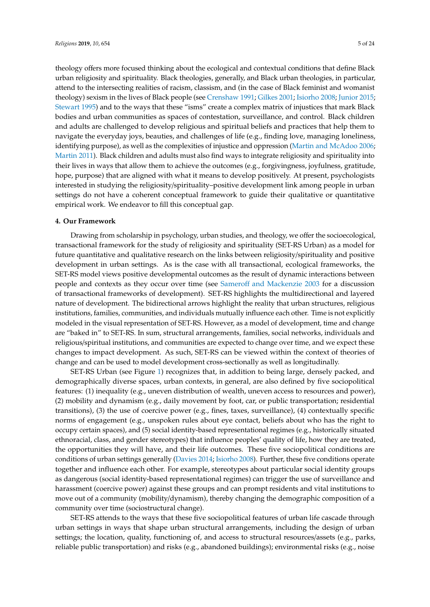theology offers more focused thinking about the ecological and contextual conditions that define Black urban religiosity and spirituality. Black theologies, generally, and Black urban theologies, in particular, attend to the intersecting realities of racism, classism, and (in the case of Black feminist and womanist theology) sexism in the lives of Black people (see [Crenshaw](#page-18-7) [1991;](#page-18-7) [Gilkes](#page-19-3) [2001;](#page-19-3) [Isiorho](#page-20-5) [2008;](#page-20-5) [Junior](#page-20-6) [2015;](#page-20-6) [Stewart](#page-22-4) [1995\)](#page-22-4) and to the ways that these "isms" create a complex matrix of injustices that mark Black bodies and urban communities as spaces of contestation, surveillance, and control. Black children and adults are challenged to develop religious and spiritual beliefs and practices that help them to navigate the everyday joys, beauties, and challenges of life (e.g., finding love, managing loneliness, identifying purpose), as well as the complexities of injustice and oppression [\(Martin and McAdoo](#page-21-8) [2006;](#page-21-8) [Martin](#page-20-7) [2011\)](#page-20-7). Black children and adults must also find ways to integrate religiosity and spirituality into their lives in ways that allow them to achieve the outcomes (e.g., forgivingness, joyfulness, gratitude, hope, purpose) that are aligned with what it means to develop positively. At present, psychologists interested in studying the religiosity/spirituality–positive development link among people in urban settings do not have a coherent conceptual framework to guide their qualitative or quantitative empirical work. We endeavor to fill this conceptual gap.

#### **4. Our Framework**

Drawing from scholarship in psychology, urban studies, and theology, we offer the socioecological, transactional framework for the study of religiosity and spirituality (SET-RS Urban) as a model for future quantitative and qualitative research on the links between religiosity/spirituality and positive development in urban settings. As is the case with all transactional, ecological frameworks, the SET-RS model views positive developmental outcomes as the result of dynamic interactions between people and contexts as they occur over time (see Sameroff [and Mackenzie](#page-22-5) [2003](#page-22-5) for a discussion of transactional frameworks of development). SET-RS highlights the multidirectional and layered nature of development. The bidirectional arrows highlight the reality that urban structures, religious institutions, families, communities, and individuals mutually influence each other. Time is not explicitly modeled in the visual representation of SET-RS. However, as a model of development, time and change are "baked in" to SET-RS. In sum, structural arrangements, families, social networks, individuals and religious/spiritual institutions, and communities are expected to change over time, and we expect these changes to impact development. As such, SET-RS can be viewed within the context of theories of change and can be used to model development cross-sectionally as well as longitudinally.

SET-RS Urban (see Figure [1\)](#page-5-0) recognizes that, in addition to being large, densely packed, and demographically diverse spaces, urban contexts, in general, are also defined by five sociopolitical features: (1) inequality (e.g., uneven distribution of wealth, uneven access to resources and power), (2) mobility and dynamism (e.g., daily movement by foot, car, or public transportation; residential transitions), (3) the use of coercive power (e.g., fines, taxes, surveillance), (4) contextually specific norms of engagement (e.g., unspoken rules about eye contact, beliefs about who has the right to occupy certain spaces), and (5) social identity-based representational regimes (e.g., historically situated ethnoracial, class, and gender stereotypes) that influence peoples' quality of life, how they are treated, the opportunities they will have, and their life outcomes. These five sociopolitical conditions are conditions of urban settings generally [\(Davies](#page-19-4) [2014;](#page-19-4) [Isiorho](#page-20-5) [2008\)](#page-20-5). Further, these five conditions operate together and influence each other. For example, stereotypes about particular social identity groups as dangerous (social identity-based representational regimes) can trigger the use of surveillance and harassment (coercive power) against these groups and can prompt residents and vital institutions to move out of a community (mobility/dynamism), thereby changing the demographic composition of a community over time (sociostructural change).

SET-RS attends to the ways that these five sociopolitical features of urban life cascade through urban settings in ways that shape urban structural arrangements, including the design of urban settings; the location, quality, functioning of, and access to structural resources/assets (e.g., parks, reliable public transportation) and risks (e.g., abandoned buildings); environmental risks (e.g., noise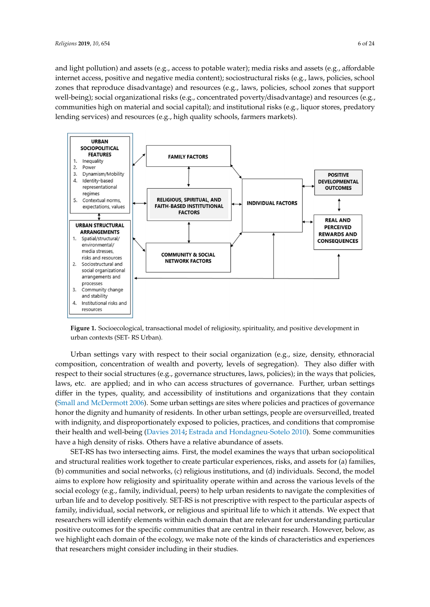and light pollution) and assets (e.g., access to potable water); media risks and assets (e.g., affordable internet access, positive and negative media content); sociostructural risks (e.g., laws, policies, school zones that reproduce disadvantage) and resources (e.g., laws, policies, school zones that support well-being); social organizational risks (e.g., concentrated poverty/disadvantage) and resources (e.g., communities high on material and social capital); and institutional risks (e.g., liquor stores, predatory lending services) and resources (e.g., high quality schools, farmers markets).

<span id="page-5-0"></span>

**Figure 1.** Socioecological, transactional model of religiosity, spirituality, and positive development in  $\frac{1}{2}$ urban contexts (SET- RS Urban). urban contexts (SET- RS Urban).

composition, concentration of wealth and poverty, levels of segregation). They also differ with respect to their social structures (e.g., governance structures, laws, policies); in the ways that policies, laws, etc. are applied; and in who can access structures of governance. Further, urban settings differ in the types, quality, and accessibility of institutions and organizations that they contain [\(Small and McDermott](#page-22-6) [2006\)](#page-22-6). Some urban settings are sites where policies and practices of governance honor the dignity and humanity of residents. In other urban settings, people are oversurveilled, treated with indignity, and disproportionately exposed to policies, practices, and conditions that compromise their health and well-being [\(Davies](#page-19-4) [2014;](#page-19-4) [Estrada and Hondagneu-Sotelo](#page-19-5) [2010\)](#page-19-5). Some communities have a high density of risks. Others have a relative abundance of assets. Urban settings vary with respect to their social organization (e.g., size, density, ethnoracial

SET-RS has two intersecting aims. First, the model examines the ways that urban sociopolitical and structural realities work together to create particular experiences, risks, and assets for (a) families, (b) communities and social networks, (c) religious institutions, and (d) individuals. Second, the model aims to explore how religiosity and spirituality operate within and across the various levels of the  $\frac{1}{2}$  social ecology (e.g., family, individual, peers) to help urban residents to navigate the complexities of  $\frac{1}{\sqrt{1-\frac{1}{\sqrt{1-\frac{1}{\sqrt{1-\frac{1}{\sqrt{1-\frac{1}{\sqrt{1-\frac{1}{\sqrt{1-\frac{1}{\sqrt{1-\frac{1}{\sqrt{1-\frac{1}{\sqrt{1-\frac{1}{\sqrt{1-\frac{1}{\sqrt{1-\frac{1}{\sqrt{1-\frac{1}{\sqrt{1-\frac{1}{\sqrt{1-\frac{1}{\sqrt{1-\frac{1}{\sqrt{1-\frac{1}{\sqrt{1-\frac{1}{\sqrt{1-\frac{1}{\sqrt{1-\frac{1}{\sqrt{1-\frac{1}{\sqrt{1-\frac{1}{\sqrt{1-\frac{1}{\sqrt{1-\frac{1}{\sqrt{1-\frac{1$ family, individual, social network, or religious and spiritual life to which it attends. We expect that researchers will identify elements within each domain that are relevant for understanding particular positive outcomes for the specific communities that are central in their research. However, below, as the meaning of the ecology, we make note of the kinds of characteristics and experiences that researchers might consider including in their studies.  $S_{\rm eff}$  and  $S_{\rm eff}$  the model examines the model examines that urban sociopolitical examines that urban socio-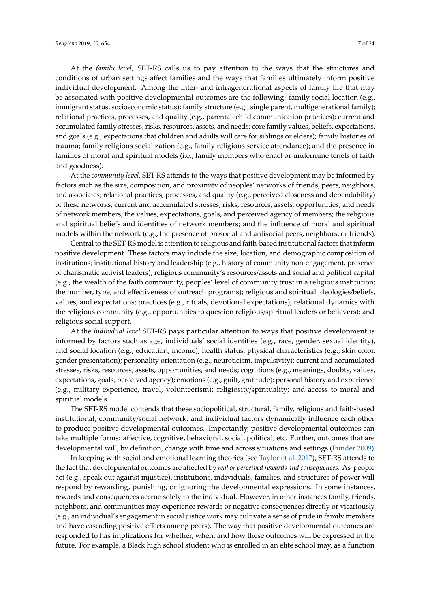At the *family level*, SET-RS calls us to pay attention to the ways that the structures and conditions of urban settings affect families and the ways that families ultimately inform positive individual development. Among the inter- and intragenerational aspects of family life that may be associated with positive developmental outcomes are the following: family social location (e.g., immigrant status, socioeconomic status); family structure (e.g., single parent, multigenerational family); relational practices, processes, and quality (e.g., parental–child communication practices); current and accumulated family stresses, risks, resources, assets, and needs; core family values, beliefs, expectations, and goals (e.g., expectations that children and adults will care for siblings or elders); family histories of trauma; family religious socialization (e.g., family religious service attendance); and the presence in families of moral and spiritual models (i.e., family members who enact or undermine tenets of faith and goodness).

At the *community level*, SET-RS attends to the ways that positive development may be informed by factors such as the size, composition, and proximity of peoples' networks of friends, peers, neighbors, and associates; relational practices, processes, and quality (e.g., perceived closeness and dependability) of these networks; current and accumulated stresses, risks, resources, assets, opportunities, and needs of network members; the values, expectations, goals, and perceived agency of members; the religious and spiritual beliefs and identities of network members; and the influence of moral and spiritual models within the network (e.g., the presence of prosocial and antisocial peers, neighbors, or friends).

Central to the SET-RS model is attention to religious and faith-based institutional factors that inform positive development. These factors may include the size, location, and demographic composition of institutions; institutional history and leadership (e.g., history of community non-engagement, presence of charismatic activist leaders); religious community's resources/assets and social and political capital (e.g., the wealth of the faith community, peoples' level of community trust in a religious institution; the number, type, and effectiveness of outreach programs); religious and spiritual ideologies/beliefs, values, and expectations; practices (e.g., rituals, devotional expectations); relational dynamics with the religious community (e.g., opportunities to question religious/spiritual leaders or believers); and religious social support.

At the *individual level* SET-RS pays particular attention to ways that positive development is informed by factors such as age, individuals' social identities (e.g., race, gender, sexual identity), and social location (e.g., education, income); health status; physical characteristics (e.g., skin color, gender presentation); personality orientation (e.g., neuroticism, impulsivity); current and accumulated stresses, risks, resources, assets, opportunities, and needs; cognitions (e.g., meanings, doubts, values, expectations, goals, perceived agency); emotions (e.g., guilt, gratitude); personal history and experience (e.g., military experience, travel, volunteerism); religiosity/spirituality; and access to moral and spiritual models.

The SET-RS model contends that these sociopolitical, structural, family, religious and faith-based institutional, community/social network, and individual factors dynamically influence each other to produce positive developmental outcomes. Importantly, positive developmental outcomes can take multiple forms: affective, cognitive, behavioral, social, political, etc. Further, outcomes that are developmental will, by definition, change with time and across situations and settings [\(Funder](#page-19-6) [2009\)](#page-19-6).

In keeping with social and emotional learning theories (see [Taylor et al.](#page-22-7) [2017\)](#page-22-7), SET-RS attends to the fact that developmental outcomes are affected by *real or perceived rewards and consequences*. As people act (e.g., speak out against injustice), institutions, individuals, families, and structures of power will respond by rewarding, punishing, or ignoring the developmental expressions. In some instances, rewards and consequences accrue solely to the individual. However, in other instances family, friends, neighbors, and communities may experience rewards or negative consequences directly or vicariously (e.g., an individual's engagement in social justice work may cultivate a sense of pride in family members and have cascading positive effects among peers). The way that positive developmental outcomes are responded to has implications for whether, when, and how these outcomes will be expressed in the future. For example, a Black high school student who is enrolled in an elite school may, as a function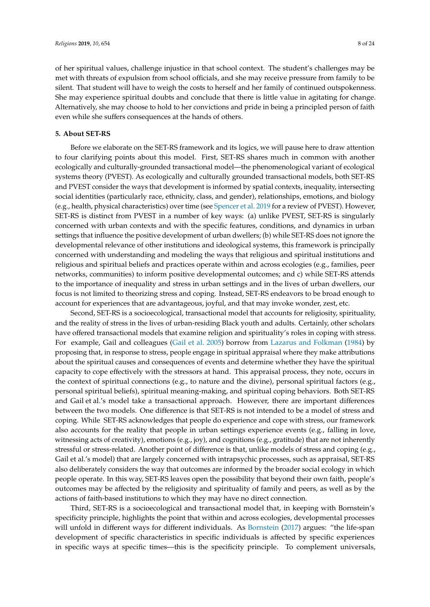of her spiritual values, challenge injustice in that school context. The student's challenges may be met with threats of expulsion from school officials, and she may receive pressure from family to be silent. That student will have to weigh the costs to herself and her family of continued outspokenness. She may experience spiritual doubts and conclude that there is little value in agitating for change. Alternatively, she may choose to hold to her convictions and pride in being a principled person of faith even while she suffers consequences at the hands of others.

#### **5. About SET-RS**

Before we elaborate on the SET-RS framework and its logics, we will pause here to draw attention to four clarifying points about this model. First, SET-RS shares much in common with another ecologically and culturally-grounded transactional model—the phenomenological variant of ecological systems theory (PVEST). As ecologically and culturally grounded transactional models, both SET-RS and PVEST consider the ways that development is informed by spatial contexts, inequality, intersecting social identities (particularly race, ethnicity, class, and gender), relationships, emotions, and biology (e.g., health, physical characteristics) over time (see [Spencer et al.](#page-22-8) [2019](#page-22-8) for a review of PVEST). However, SET-RS is distinct from PVEST in a number of key ways: (a) unlike PVEST, SET-RS is singularly concerned with urban contexts and with the specific features, conditions, and dynamics in urban settings that influence the positive development of urban dwellers; (b) while SET-RS does not ignore the developmental relevance of other institutions and ideological systems, this framework is principally concerned with understanding and modeling the ways that religious and spiritual institutions and religious and spiritual beliefs and practices operate within and across ecologies (e.g., families, peer networks, communities) to inform positive developmental outcomes; and c) while SET-RS attends to the importance of inequality and stress in urban settings and in the lives of urban dwellers, our focus is not limited to theorizing stress and coping. Instead, SET-RS endeavors to be broad enough to account for experiences that are advantageous, joyful, and that may invoke wonder, zest, etc.

Second, SET-RS is a socioecological, transactional model that accounts for religiosity, spirituality, and the reality of stress in the lives of urban-residing Black youth and adults. Certainly, other scholars have offered transactional models that examine religion and spirituality's roles in coping with stress. For example, Gail and colleagues [\(Gail et al.](#page-19-7) [2005\)](#page-19-7) borrow from [Lazarus and Folkman](#page-20-8) [\(1984\)](#page-20-8) by proposing that, in response to stress, people engage in spiritual appraisal where they make attributions about the spiritual causes and consequences of events and determine whether they have the spiritual capacity to cope effectively with the stressors at hand. This appraisal process, they note, occurs in the context of spiritual connections (e.g., to nature and the divine), personal spiritual factors (e.g., personal spiritual beliefs), spiritual meaning-making, and spiritual coping behaviors. Both SET-RS and Gail et al.'s model take a transactional approach. However, there are important differences between the two models. One difference is that SET-RS is not intended to be a model of stress and coping. While SET-RS acknowledges that people do experience and cope with stress, our framework also accounts for the reality that people in urban settings experience events (e.g., falling in love, witnessing acts of creativity), emotions (e.g., joy), and cognitions (e.g., gratitude) that are not inherently stressful or stress-related. Another point of difference is that, unlike models of stress and coping (e.g., Gail et al.'s model) that are largely concerned with intrapsychic processes, such as appraisal, SET-RS also deliberately considers the way that outcomes are informed by the broader social ecology in which people operate. In this way, SET-RS leaves open the possibility that beyond their own faith, people's outcomes may be affected by the religiosity and spirituality of family and peers, as well as by the actions of faith-based institutions to which they may have no direct connection.

Third, SET-RS is a socioecological and transactional model that, in keeping with Bornstein's specificity principle, highlights the point that within and across ecologies, developmental processes will unfold in different ways for different individuals. As [Bornstein](#page-18-8) [\(2017\)](#page-18-8) argues: "the life-span development of specific characteristics in specific individuals is affected by specific experiences in specific ways at specific times—this is the specificity principle. To complement universals,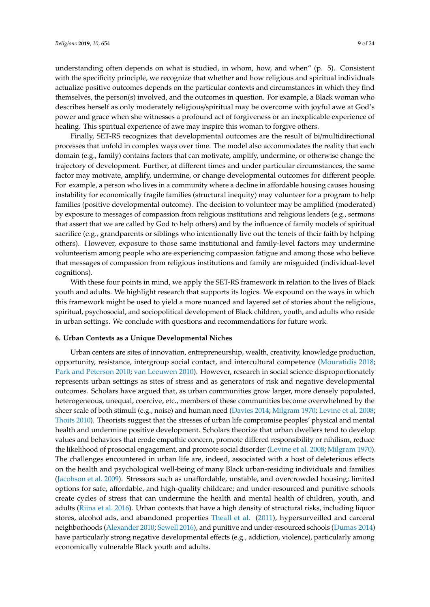understanding often depends on what is studied, in whom, how, and when" (p. 5). Consistent with the specificity principle, we recognize that whether and how religious and spiritual individuals actualize positive outcomes depends on the particular contexts and circumstances in which they find themselves, the person(s) involved, and the outcomes in question. For example, a Black woman who describes herself as only moderately religious/spiritual may be overcome with joyful awe at God's power and grace when she witnesses a profound act of forgiveness or an inexplicable experience of healing. This spiritual experience of awe may inspire this woman to forgive others.

Finally, SET-RS recognizes that developmental outcomes are the result of bi/multidirectional processes that unfold in complex ways over time. The model also accommodates the reality that each domain (e.g., family) contains factors that can motivate, amplify, undermine, or otherwise change the trajectory of development. Further, at different times and under particular circumstances, the same factor may motivate, amplify, undermine, or change developmental outcomes for different people. For example, a person who lives in a community where a decline in affordable housing causes housing instability for economically fragile families (structural inequity) may volunteer for a program to help families (positive developmental outcome). The decision to volunteer may be amplified (moderated) by exposure to messages of compassion from religious institutions and religious leaders (e.g., sermons that assert that we are called by God to help others) and by the influence of family models of spiritual sacrifice (e.g., grandparents or siblings who intentionally live out the tenets of their faith by helping others). However, exposure to those same institutional and family-level factors may undermine volunteerism among people who are experiencing compassion fatigue and among those who believe that messages of compassion from religious institutions and family are misguided (individual-level cognitions).

With these four points in mind, we apply the SET-RS framework in relation to the lives of Black youth and adults. We highlight research that supports its logics. We expound on the ways in which this framework might be used to yield a more nuanced and layered set of stories about the religious, spiritual, psychosocial, and sociopolitical development of Black children, youth, and adults who reside in urban settings. We conclude with questions and recommendations for future work.

## **6. Urban Contexts as a Unique Developmental Niches**

Urban centers are sites of innovation, entrepreneurship, wealth, creativity, knowledge production, opportunity, resistance, intergroup social contact, and intercultural competence [\(Mouratidis](#page-21-1) [2018;](#page-21-1) [Park and Peterson](#page-21-9) [2010;](#page-21-9) [van Leeuwen](#page-23-0) [2010\)](#page-23-0). However, research in social science disproportionately represents urban settings as sites of stress and as generators of risk and negative developmental outcomes. Scholars have argued that, as urban communities grow larger, more densely populated, heterogeneous, unequal, coercive, etc., members of these communities become overwhelmed by the sheer scale of both stimuli (e.g., noise) and human need [\(Davies](#page-19-4) [2014;](#page-19-4) [Milgram](#page-21-10) [1970;](#page-21-10) [Levine et al.](#page-20-3) [2008;](#page-20-3) [Thoits](#page-22-9) [2010\)](#page-22-9). Theorists suggest that the stresses of urban life compromise peoples' physical and mental health and undermine positive development. Scholars theorize that urban dwellers tend to develop values and behaviors that erode empathic concern, promote differed responsibility or nihilism, reduce the likelihood of prosocial engagement, and promote social disorder [\(Levine et al.](#page-20-3) [2008;](#page-20-3) [Milgram](#page-21-10) [1970\)](#page-21-10). The challenges encountered in urban life are, indeed, associated with a host of deleterious effects on the health and psychological well-being of many Black urban-residing individuals and families [\(Jacobson et al.](#page-20-9) [2009\)](#page-20-9). Stressors such as unaffordable, unstable, and overcrowded housing; limited options for safe, affordable, and high-quality childcare; and under-resourced and punitive schools create cycles of stress that can undermine the health and mental health of children, youth, and adults [\(Riina et al.](#page-22-10) [2016\)](#page-22-10). Urban contexts that have a high density of structural risks, including liquor stores, alcohol ads, and abandoned properties [Theall et al.](#page-22-11) [\(2011\)](#page-22-11), hypersurveilled and carceral neighborhoods [\(Alexander](#page-18-9) [2010;](#page-18-9) [Sewell](#page-22-12) [2016\)](#page-22-12), and punitive and under-resourced schools [\(Dumas](#page-19-8) [2014\)](#page-19-8) have particularly strong negative developmental effects (e.g., addiction, violence), particularly among economically vulnerable Black youth and adults.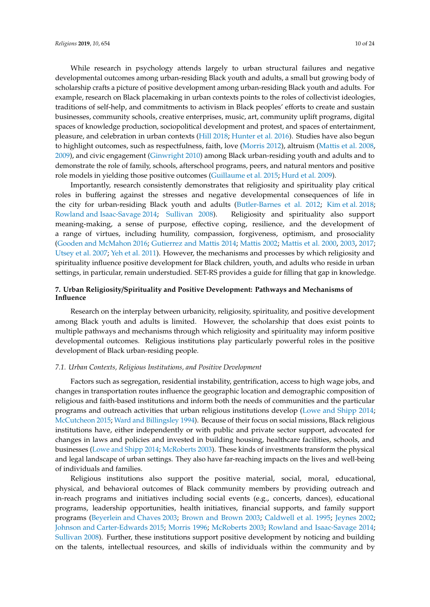While research in psychology attends largely to urban structural failures and negative developmental outcomes among urban-residing Black youth and adults, a small but growing body of scholarship crafts a picture of positive development among urban-residing Black youth and adults. For example, research on Black placemaking in urban contexts points to the roles of collectivist ideologies, traditions of self-help, and commitments to activism in Black peoples' efforts to create and sustain businesses, community schools, creative enterprises, music, art, community uplift programs, digital spaces of knowledge production, sociopolitical development and protest, and spaces of entertainment, pleasure, and celebration in urban contexts [\(Hill](#page-19-9) [2018;](#page-19-9) [Hunter et al.](#page-20-10) [2016\)](#page-20-10). Studies have also begun to highlight outcomes, such as respectfulness, faith, love [\(Morris](#page-21-11) [2012\)](#page-21-11), altruism [\(Mattis et al.](#page-21-12) [2008,](#page-21-12) [2009\)](#page-21-13), and civic engagement [\(Ginwright](#page-19-10) [2010\)](#page-19-10) among Black urban-residing youth and adults and to demonstrate the role of family, schools, afterschool programs, peers, and natural mentors and positive role models in yielding those positive outcomes [\(Guillaume et al.](#page-19-11) [2015;](#page-19-11) [Hurd et al.](#page-20-11) [2009\)](#page-20-11).

Importantly, research consistently demonstrates that religiosity and spirituality play critical roles in buffering against the stresses and negative developmental consequences of life in the city for urban-residing Black youth and adults [\(Butler-Barnes et al.](#page-18-10) [2012;](#page-18-10) [Kim et al.](#page-20-12) [2018;](#page-20-12) [Rowland and Isaac-Savage](#page-22-13) [2014;](#page-22-13) [Sullivan](#page-22-14) [2008\)](#page-22-14). Religiosity and spirituality also support meaning-making, a sense of purpose, effective coping, resilience, and the development of a range of virtues, including humility, compassion, forgiveness, optimism, and prosociality [\(Gooden and McMahon](#page-19-12) [2016;](#page-19-12) [Gutierrez and Mattis](#page-19-13) [2014;](#page-19-13) [Mattis](#page-21-5) [2002;](#page-21-5) [Mattis et al.](#page-21-14) [2000,](#page-21-14) [2003,](#page-21-15) [2017;](#page-21-16) [Utsey et al.](#page-23-1) [2007;](#page-23-1) [Yeh et al.](#page-23-2) [2011\)](#page-23-2). However, the mechanisms and processes by which religiosity and spirituality influence positive development for Black children, youth, and adults who reside in urban settings, in particular, remain understudied. SET-RS provides a guide for filling that gap in knowledge.

## **7. Urban Religiosity**/**Spirituality and Positive Development: Pathways and Mechanisms of Influence**

Research on the interplay between urbanicity, religiosity, spirituality, and positive development among Black youth and adults is limited. However, the scholarship that does exist points to multiple pathways and mechanisms through which religiosity and spirituality may inform positive developmental outcomes. Religious institutions play particularly powerful roles in the positive development of Black urban-residing people.

#### *7.1. Urban Contexts, Religious Institutions, and Positive Development*

Factors such as segregation, residential instability, gentrification, access to high wage jobs, and changes in transportation routes influence the geographic location and demographic composition of religious and faith-based institutions and inform both the needs of communities and the particular programs and outreach activities that urban religious institutions develop [\(Lowe and Shipp](#page-20-13) [2014;](#page-20-13) [McCutcheon](#page-21-17) [2015;](#page-21-17) [Ward and Billingsley](#page-23-3) [1994\)](#page-23-3). Because of their focus on social missions, Black religious institutions have, either independently or with public and private sector support, advocated for changes in laws and policies and invested in building housing, healthcare facilities, schools, and businesses [\(Lowe and Shipp](#page-20-13) [2014;](#page-20-13) [McRoberts](#page-21-18) [2003\)](#page-21-18). These kinds of investments transform the physical and legal landscape of urban settings. They also have far-reaching impacts on the lives and well-being of individuals and families.

Religious institutions also support the positive material, social, moral, educational, physical, and behavioral outcomes of Black community members by providing outreach and in-reach programs and initiatives including social events (e.g., concerts, dances), educational programs, leadership opportunities, health initiatives, financial supports, and family support programs [\(Beyerlein and Chaves](#page-18-11) [2003;](#page-18-11) [Brown and Brown](#page-18-1) [2003;](#page-18-1) [Caldwell et al.](#page-18-12) [1995;](#page-18-12) [Jeynes](#page-20-14) [2002;](#page-20-14) [Johnson and Carter-Edwards](#page-20-15) [2015;](#page-20-15) [Morris](#page-21-19) [1996;](#page-21-19) [McRoberts](#page-21-18) [2003;](#page-21-18) [Rowland and Isaac-Savage](#page-22-13) [2014;](#page-22-13) [Sullivan](#page-22-14) [2008\)](#page-22-14). Further, these institutions support positive development by noticing and building on the talents, intellectual resources, and skills of individuals within the community and by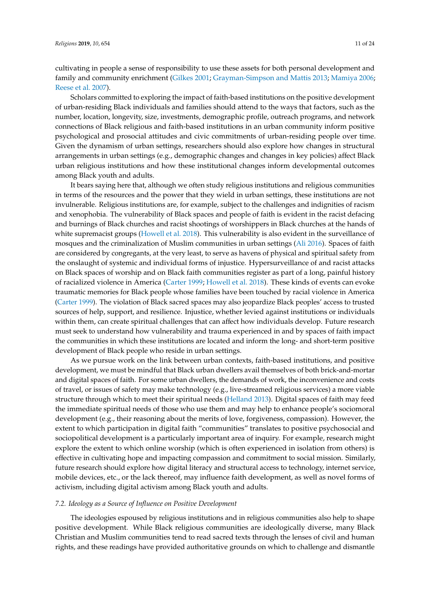cultivating in people a sense of responsibility to use these assets for both personal development and family and community enrichment [\(Gilkes](#page-19-3) [2001;](#page-19-3) [Grayman-Simpson and Mattis](#page-19-14) [2013;](#page-19-14) [Mamiya](#page-20-16) [2006;](#page-20-16) [Reese et al.](#page-22-15) [2007\)](#page-22-15).

Scholars committed to exploring the impact of faith-based institutions on the positive development of urban-residing Black individuals and families should attend to the ways that factors, such as the number, location, longevity, size, investments, demographic profile, outreach programs, and network connections of Black religious and faith-based institutions in an urban community inform positive psychological and prosocial attitudes and civic commitments of urban-residing people over time. Given the dynamism of urban settings, researchers should also explore how changes in structural arrangements in urban settings (e.g., demographic changes and changes in key policies) affect Black urban religious institutions and how these institutional changes inform developmental outcomes among Black youth and adults.

It bears saying here that, although we often study religious institutions and religious communities in terms of the resources and the power that they wield in urban settings, these institutions are not invulnerable. Religious institutions are, for example, subject to the challenges and indignities of racism and xenophobia. The vulnerability of Black spaces and people of faith is evident in the racist defacing and burnings of Black churches and racist shootings of worshippers in Black churches at the hands of white supremacist groups [\(Howell et al.](#page-20-17) [2018\)](#page-20-17). This vulnerability is also evident in the surveillance of mosques and the criminalization of Muslim communities in urban settings [\(Ali](#page-18-13) [2016\)](#page-18-13). Spaces of faith are considered by congregants, at the very least, to serve as havens of physical and spiritual safety from the onslaught of systemic and individual forms of injustice. Hypersurveillance of and racist attacks on Black spaces of worship and on Black faith communities register as part of a long, painful history of racialized violence in America [\(Carter](#page-18-14) [1999;](#page-18-14) [Howell et al.](#page-20-17) [2018\)](#page-20-17). These kinds of events can evoke traumatic memories for Black people whose families have been touched by racial violence in America [\(Carter](#page-18-14) [1999\)](#page-18-14). The violation of Black sacred spaces may also jeopardize Black peoples' access to trusted sources of help, support, and resilience. Injustice, whether levied against institutions or individuals within them, can create spiritual challenges that can affect how individuals develop. Future research must seek to understand how vulnerability and trauma experienced in and by spaces of faith impact the communities in which these institutions are located and inform the long- and short-term positive development of Black people who reside in urban settings.

As we pursue work on the link between urban contexts, faith-based institutions, and positive development, we must be mindful that Black urban dwellers avail themselves of both brick-and-mortar and digital spaces of faith. For some urban dwellers, the demands of work, the inconvenience and costs of travel, or issues of safety may make technology (e.g., live-streamed religious services) a more viable structure through which to meet their spiritual needs [\(Helland](#page-19-15) [2013\)](#page-19-15). Digital spaces of faith may feed the immediate spiritual needs of those who use them and may help to enhance people's sociomoral development (e.g., their reasoning about the merits of love, forgiveness, compassion). However, the extent to which participation in digital faith "communities" translates to positive psychosocial and sociopolitical development is a particularly important area of inquiry. For example, research might explore the extent to which online worship (which is often experienced in isolation from others) is effective in cultivating hope and impacting compassion and commitment to social mission. Similarly, future research should explore how digital literacy and structural access to technology, internet service, mobile devices, etc., or the lack thereof, may influence faith development, as well as novel forms of activism, including digital activism among Black youth and adults.

#### *7.2. Ideology as a Source of Influence on Positive Development*

The ideologies espoused by religious institutions and in religious communities also help to shape positive development. While Black religious communities are ideologically diverse, many Black Christian and Muslim communities tend to read sacred texts through the lenses of civil and human rights, and these readings have provided authoritative grounds on which to challenge and dismantle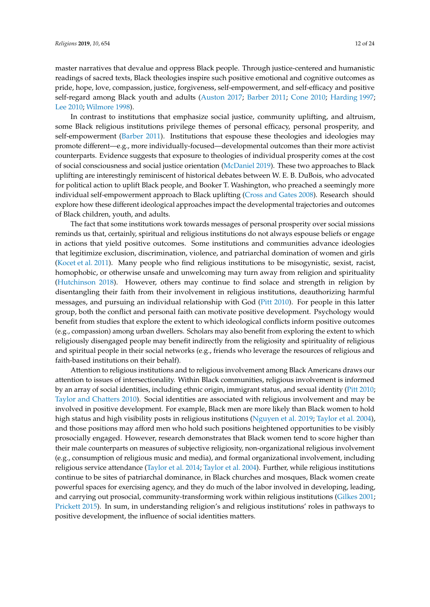master narratives that devalue and oppress Black people. Through justice-centered and humanistic readings of sacred texts, Black theologies inspire such positive emotional and cognitive outcomes as pride, hope, love, compassion, justice, forgiveness, self-empowerment, and self-efficacy and positive self-regard among Black youth and adults [\(Auston](#page-18-15) [2017;](#page-18-15) [Barber](#page-18-16) [2011;](#page-18-16) [Cone](#page-18-2) [2010;](#page-18-2) [Harding](#page-19-0) [1997;](#page-19-0) [Lee](#page-20-18) [2010;](#page-20-18) [Wilmore](#page-23-4) [1998\)](#page-23-4).

In contrast to institutions that emphasize social justice, community uplifting, and altruism, some Black religious institutions privilege themes of personal efficacy, personal prosperity, and self-empowerment [\(Barber](#page-18-16) [2011\)](#page-18-16). Institutions that espouse these theologies and ideologies may promote different—e.g., more individually-focused—developmental outcomes than their more activist counterparts. Evidence suggests that exposure to theologies of individual prosperity comes at the cost of social consciousness and social justice orientation [\(McDaniel](#page-21-20) [2019\)](#page-21-20). These two approaches to Black uplifting are interestingly reminiscent of historical debates between W. E. B. DuBois, who advocated for political action to uplift Black people, and Booker T. Washington, who preached a seemingly more individual self-empowerment approach to Black uplifting [\(Cross and Gates](#page-19-16) [2008\)](#page-19-16). Research should explore how these different ideological approaches impact the developmental trajectories and outcomes of Black children, youth, and adults.

The fact that some institutions work towards messages of personal prosperity over social missions reminds us that, certainly, spiritual and religious institutions do not always espouse beliefs or engage in actions that yield positive outcomes. Some institutions and communities advance ideologies that legitimize exclusion, discrimination, violence, and patriarchal domination of women and girls [\(Kocet et al.](#page-20-19) [2011\)](#page-20-19). Many people who find religious institutions to be misogynistic, sexist, racist, homophobic, or otherwise unsafe and unwelcoming may turn away from religion and spirituality [\(Hutchinson](#page-20-20) [2018\)](#page-20-20). However, others may continue to find solace and strength in religion by disentangling their faith from their involvement in religious institutions, deauthorizing harmful messages, and pursuing an individual relationship with God [\(Pitt](#page-22-16) [2010\)](#page-22-16). For people in this latter group, both the conflict and personal faith can motivate positive development. Psychology would benefit from studies that explore the extent to which ideological conflicts inform positive outcomes (e.g., compassion) among urban dwellers. Scholars may also benefit from exploring the extent to which religiously disengaged people may benefit indirectly from the religiosity and spirituality of religious and spiritual people in their social networks (e.g., friends who leverage the resources of religious and faith-based institutions on their behalf).

Attention to religious institutions and to religious involvement among Black Americans draws our attention to issues of intersectionality. Within Black communities, religious involvement is informed by an array of social identities, including ethnic origin, immigrant status, and sexual identity [\(Pitt](#page-22-16) [2010;](#page-22-16) [Taylor and Chatters](#page-22-0) [2010\)](#page-22-0). Social identities are associated with religious involvement and may be involved in positive development. For example, Black men are more likely than Black women to hold high status and high visibility posts in religious institutions [\(Nguyen et al.](#page-21-21) [2019;](#page-21-21) [Taylor et al.](#page-22-2) [2004\)](#page-22-2), and those positions may afford men who hold such positions heightened opportunities to be visibly prosocially engaged. However, research demonstrates that Black women tend to score higher than their male counterparts on measures of subjective religiosity, non-organizational religious involvement (e.g., consumption of religious music and media), and formal organizational involvement, including religious service attendance [\(Taylor et al.](#page-22-3) [2014;](#page-22-3) [Taylor et al.](#page-22-2) [2004\)](#page-22-2). Further, while religious institutions continue to be sites of patriarchal dominance, in Black churches and mosques, Black women create powerful spaces for exercising agency, and they do much of the labor involved in developing, leading, and carrying out prosocial, community-transforming work within religious institutions [\(Gilkes](#page-19-3) [2001;](#page-19-3) [Prickett](#page-22-17) [2015\)](#page-22-17). In sum, in understanding religion's and religious institutions' roles in pathways to positive development, the influence of social identities matters.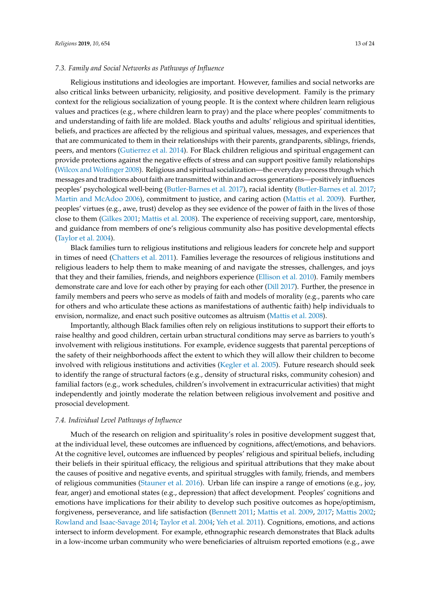Religious institutions and ideologies are important. However, families and social networks are also critical links between urbanicity, religiosity, and positive development. Family is the primary context for the religious socialization of young people. It is the context where children learn religious values and practices (e.g., where children learn to pray) and the place where peoples' commitments to and understanding of faith life are molded. Black youths and adults' religious and spiritual identities, beliefs, and practices are affected by the religious and spiritual values, messages, and experiences that that are communicated to them in their relationships with their parents, grandparents, siblings, friends, peers, and mentors [\(Gutierrez et al.](#page-19-17) [2014\)](#page-19-17). For Black children religious and spiritual engagement can provide protections against the negative effects of stress and can support positive family relationships [\(Wilcox and Wolfinger](#page-23-5) [2008\)](#page-23-5). Religious and spiritual socialization—the everyday process through which

messages and traditions about faith are transmitted within and across generations—positively influences peoples' psychological well-being [\(Butler-Barnes et al.](#page-18-17) [2017\)](#page-18-17), racial identity [\(Butler-Barnes et al.](#page-18-17) [2017;](#page-18-17) [Martin and McAdoo](#page-21-8) [2006\)](#page-21-8), commitment to justice, and caring action [\(Mattis et al.](#page-21-13) [2009\)](#page-21-13). Further, peoples' virtues (e.g., awe, trust) develop as they see evidence of the power of faith in the lives of those close to them [\(Gilkes](#page-19-3) [2001;](#page-19-3) [Mattis et al.](#page-21-12) [2008\)](#page-21-12). The experience of receiving support, care, mentorship, and guidance from members of one's religious community also has positive developmental effects [\(Taylor et al.](#page-22-2) [2004\)](#page-22-2).

Black families turn to religious institutions and religious leaders for concrete help and support in times of need [\(Chatters et al.](#page-18-18) [2011\)](#page-18-18). Families leverage the resources of religious institutions and religious leaders to help them to make meaning of and navigate the stresses, challenges, and joys that they and their families, friends, and neighbors experience [\(Ellison et al.](#page-19-18) [2010\)](#page-19-18). Family members demonstrate care and love for each other by praying for each other [\(Dill](#page-19-19) [2017\)](#page-19-19). Further, the presence in family members and peers who serve as models of faith and models of morality (e.g., parents who care for others and who articulate these actions as manifestations of authentic faith) help individuals to envision, normalize, and enact such positive outcomes as altruism [\(Mattis et al.](#page-21-12) [2008\)](#page-21-12).

Importantly, although Black families often rely on religious institutions to support their efforts to raise healthy and good children, certain urban structural conditions may serve as barriers to youth's involvement with religious institutions. For example, evidence suggests that parental perceptions of the safety of their neighborhoods affect the extent to which they will allow their children to become involved with religious institutions and activities [\(Kegler et al.](#page-20-21) [2005\)](#page-20-21). Future research should seek to identify the range of structural factors (e.g., density of structural risks, community cohesion) and familial factors (e.g., work schedules, children's involvement in extracurricular activities) that might independently and jointly moderate the relation between religious involvement and positive and prosocial development.

#### *7.4. Individual Level Pathways of Influence*

Much of the research on religion and spirituality's roles in positive development suggest that, at the individual level, these outcomes are influenced by cognitions, affect/emotions, and behaviors. At the cognitive level, outcomes are influenced by peoples' religious and spiritual beliefs, including their beliefs in their spiritual efficacy, the religious and spiritual attributions that they make about the causes of positive and negative events, and spiritual struggles with family, friends, and members of religious communities [\(Stauner et al.](#page-22-18) [2016\)](#page-22-18). Urban life can inspire a range of emotions (e.g., joy, fear, anger) and emotional states (e.g., depression) that affect development. Peoples' cognitions and emotions have implications for their ability to develop such positive outcomes as hope/optimism, forgiveness, perseverance, and life satisfaction [\(Bennett](#page-18-19) [2011;](#page-18-19) [Mattis et al.](#page-21-13) [2009,](#page-21-13) [2017;](#page-21-16) [Mattis](#page-21-5) [2002;](#page-21-5) [Rowland and Isaac-Savage](#page-22-13) [2014;](#page-22-13) [Taylor et al.](#page-22-2) [2004;](#page-22-2) [Yeh et al.](#page-23-2) [2011\)](#page-23-2). Cognitions, emotions, and actions intersect to inform development. For example, ethnographic research demonstrates that Black adults in a low-income urban community who were beneficiaries of altruism reported emotions (e.g., awe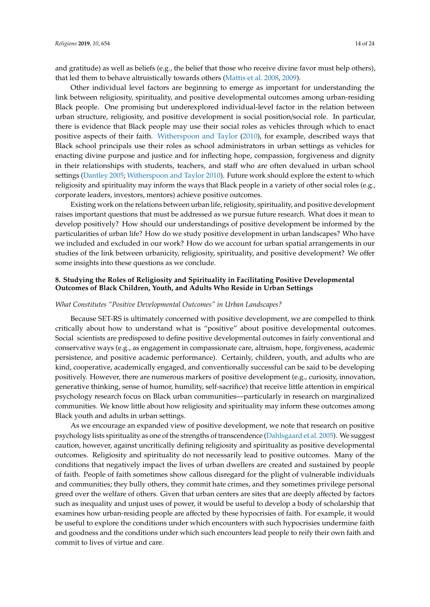and gratitude) as well as beliefs (e.g., the belief that those who receive divine favor must help others), that led them to behave altruistically towards others [\(Mattis et al.](#page-21-12) [2008,](#page-21-12) [2009\)](#page-21-13).

Other individual level factors are beginning to emerge as important for understanding the link between religiosity, spirituality, and positive developmental outcomes among urban-residing Black people. One promising but underexplored individual-level factor in the relation between urban structure, religiosity, and positive development is social position/social role. In particular, there is evidence that Black people may use their social roles as vehicles through which to enact positive aspects of their faith. [Witherspoon and Taylor](#page-23-6) [\(2010\)](#page-23-6), for example, described ways that Black school principals use their roles as school administrators in urban settings as vehicles for enacting divine purpose and justice and for inflecting hope, compassion, forgiveness and dignity in their relationships with students, teachers, and staff who are often devalued in urban school settings [\(Dantley](#page-19-20) [2005;](#page-19-20) [Witherspoon and Taylor](#page-23-6) [2010\)](#page-23-6). Future work should explore the extent to which religiosity and spirituality may inform the ways that Black people in a variety of other social roles (e.g., corporate leaders, investors, mentors) achieve positive outcomes.

Existing work on the relations between urban life, religiosity, spirituality, and positive development raises important questions that must be addressed as we pursue future research. What does it mean to develop positively? How should our understandings of positive development be informed by the particularities of urban life? How do we study positive development in urban landscapes? Who have we included and excluded in our work? How do we account for urban spatial arrangements in our studies of the link between urbanicity, religiosity, spirituality, and positive development? We offer some insights into these questions as we conclude.

## **8. Studying the Roles of Religiosity and Spirituality in Facilitating Positive Developmental Outcomes of Black Children, Youth, and Adults Who Reside in Urban Settings**

## *What Constitutes "Positive Developmental Outcomes" in Urban Landscapes?*

Because SET-RS is ultimately concerned with positive development, we are compelled to think critically about how to understand what is "positive" about positive developmental outcomes. Social scientists are predisposed to define positive developmental outcomes in fairly conventional and conservative ways (e.g., as engagement in compassionate care, altruism, hope, forgiveness, academic persistence, and positive academic performance). Certainly, children, youth, and adults who are kind, cooperative, academically engaged, and conventionally successful can be said to be developing positively. However, there are numerous markers of positive development (e.g., curiosity, innovation, generative thinking, sense of humor, humility, self-sacrifice) that receive little attention in empirical psychology research focus on Black urban communities—particularly in research on marginalized communities. We know little about how religiosity and spirituality may inform these outcomes among Black youth and adults in urban settings.

As we encourage an expanded view of positive development, we note that research on positive psychology lists spirituality as one of the strengths of transcendence [\(Dahlsgaard et al.](#page-19-21) [2005\)](#page-19-21). We suggest caution, however, against uncritically defining religiosity and spirituality as positive developmental outcomes. Religiosity and spirituality do not necessarily lead to positive outcomes. Many of the conditions that negatively impact the lives of urban dwellers are created and sustained by people of faith. People of faith sometimes show callous disregard for the plight of vulnerable individuals and communities; they bully others, they commit hate crimes, and they sometimes privilege personal greed over the welfare of others. Given that urban centers are sites that are deeply affected by factors such as inequality and unjust uses of power, it would be useful to develop a body of scholarship that examines how urban-residing people are affected by these hypocrisies of faith. For example, it would be useful to explore the conditions under which encounters with such hypocrisies undermine faith and goodness and the conditions under which such encounters lead people to reify their own faith and commit to lives of virtue and care.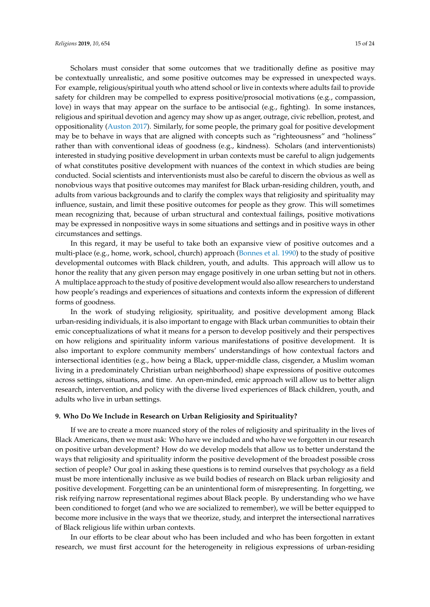Scholars must consider that some outcomes that we traditionally define as positive may be contextually unrealistic, and some positive outcomes may be expressed in unexpected ways. For example, religious/spiritual youth who attend school or live in contexts where adults fail to provide safety for children may be compelled to express positive/prosocial motivations (e.g., compassion, love) in ways that may appear on the surface to be antisocial (e.g., fighting). In some instances, religious and spiritual devotion and agency may show up as anger, outrage, civic rebellion, protest, and oppositionality [\(Auston](#page-18-15) [2017\)](#page-18-15). Similarly, for some people, the primary goal for positive development may be to behave in ways that are aligned with concepts such as "righteousness" and "holiness" rather than with conventional ideas of goodness (e.g., kindness). Scholars (and interventionists) interested in studying positive development in urban contexts must be careful to align judgements of what constitutes positive development with nuances of the context in which studies are being conducted. Social scientists and interventionists must also be careful to discern the obvious as well as nonobvious ways that positive outcomes may manifest for Black urban-residing children, youth, and adults from various backgrounds and to clarify the complex ways that religiosity and spirituality may influence, sustain, and limit these positive outcomes for people as they grow. This will sometimes mean recognizing that, because of urban structural and contextual failings, positive motivations may be expressed in nonpositive ways in some situations and settings and in positive ways in other circumstances and settings.

In this regard, it may be useful to take both an expansive view of positive outcomes and a multi-place (e.g., home, work, school, church) approach [\(Bonnes et al.](#page-18-20) [1990\)](#page-18-20) to the study of positive developmental outcomes with Black children, youth, and adults. This approach will allow us to honor the reality that any given person may engage positively in one urban setting but not in others. A multiplace approach to the study of positive development would also allow researchers to understand how people's readings and experiences of situations and contexts inform the expression of different forms of goodness.

In the work of studying religiosity, spirituality, and positive development among Black urban-residing individuals, it is also important to engage with Black urban communities to obtain their emic conceptualizations of what it means for a person to develop positively and their perspectives on how religions and spirituality inform various manifestations of positive development. It is also important to explore community members' understandings of how contextual factors and intersectional identities (e.g., how being a Black, upper-middle class, cisgender, a Muslim woman living in a predominately Christian urban neighborhood) shape expressions of positive outcomes across settings, situations, and time. An open-minded, emic approach will allow us to better align research, intervention, and policy with the diverse lived experiences of Black children, youth, and adults who live in urban settings.

#### **9. Who Do We Include in Research on Urban Religiosity and Spirituality?**

If we are to create a more nuanced story of the roles of religiosity and spirituality in the lives of Black Americans, then we must ask: Who have we included and who have we forgotten in our research on positive urban development? How do we develop models that allow us to better understand the ways that religiosity and spirituality inform the positive development of the broadest possible cross section of people? Our goal in asking these questions is to remind ourselves that psychology as a field must be more intentionally inclusive as we build bodies of research on Black urban religiosity and positive development. Forgetting can be an unintentional form of misrepresenting. In forgetting, we risk reifying narrow representational regimes about Black people. By understanding who we have been conditioned to forget (and who we are socialized to remember), we will be better equipped to become more inclusive in the ways that we theorize, study, and interpret the intersectional narratives of Black religious life within urban contexts.

In our efforts to be clear about who has been included and who has been forgotten in extant research, we must first account for the heterogeneity in religious expressions of urban-residing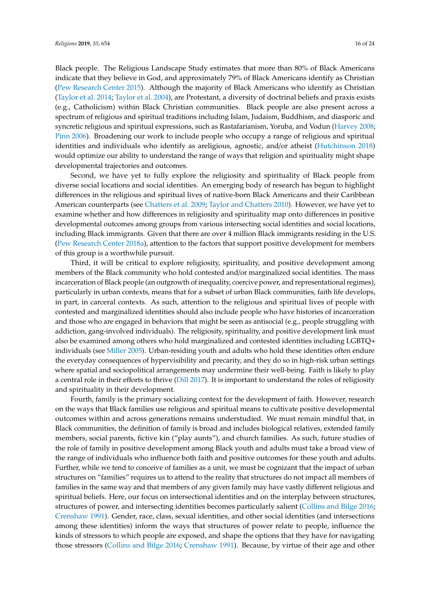Black people. The Religious Landscape Study estimates that more than 80% of Black Americans indicate that they believe in God, and approximately 79% of Black Americans identify as Christian [\(Pew Research Center](#page-21-3) [2015\)](#page-21-3). Although the majority of Black Americans who identify as Christian [\(Taylor et al.](#page-22-3) [2014;](#page-22-3) [Taylor et al.](#page-22-2) [2004\)](#page-22-2), are Protestant, a diversity of doctrinal beliefs and praxis exists (e.g., Catholicism) within Black Christian communities. Black people are also present across a spectrum of religious and spiritual traditions including Islam, Judaism, Buddhism, and diasporic and syncretic religious and spiritual expressions, such as Rastafarianism, Yoruba, and Vodun [\(Harvey](#page-19-22) [2008;](#page-19-22) [Pinn](#page-22-19) [2006\)](#page-22-19). Broadening our work to include people who occupy a range of religious and spiritual identities and individuals who identify as areligious, agnostic, and/or atheist [\(Hutchinson](#page-20-20) [2018\)](#page-20-20) would optimize our ability to understand the range of ways that religion and spirituality might shape developmental trajectories and outcomes.

Second, we have yet to fully explore the religiosity and spirituality of Black people from diverse social locations and social identities. An emerging body of research has begun to highlight differences in the religious and spiritual lives of native-born Black Americans and their Caribbean American counterparts (see [Chatters et al.](#page-18-21) [2009;](#page-18-21) [Taylor and Chatters](#page-22-0) [2010\)](#page-22-0). However, we have yet to examine whether and how differences in religiosity and spirituality map onto differences in positive developmental outcomes among groups from various intersecting social identities and social locations, including Black immigrants. Given that there are over 4 million Black immigrants residing in the U.S. [\(Pew Research Center](#page-22-20) [2018a\)](#page-22-20), attention to the factors that support positive development for members of this group is a worthwhile pursuit.

Third, it will be critical to explore religiosity, spirituality, and positive development among members of the Black community who hold contested and/or marginalized social identities. The mass incarceration of Black people (an outgrowth of inequality, coercive power, and representational regimes), particularly in urban contexts, means that for a subset of urban Black communities, faith life develops, in part, in carceral contexts. As such, attention to the religious and spiritual lives of people with contested and marginalized identities should also include people who have histories of incarceration and those who are engaged in behaviors that might be seen as antisocial (e.g., people struggling with addiction, gang-involved individuals). The religiosity, spirituality, and positive development link must also be examined among others who hold marginalized and contested identities including LGBTQ+ individuals (see [Miller](#page-21-0) [2005\)](#page-21-0). Urban-residing youth and adults who hold these identities often endure the everyday consequences of hypervisibility and precarity, and they do so in high-risk urban settings where spatial and sociopolitical arrangements may undermine their well-being. Faith is likely to play a central role in their efforts to thrive [\(Dill](#page-19-19) [2017\)](#page-19-19). It is important to understand the roles of religiosity and spirituality in their development.

Fourth, family is the primary socializing context for the development of faith. However, research on the ways that Black families use religious and spiritual means to cultivate positive developmental outcomes within and across generations remains understudied. We must remain mindful that, in Black communities, the definition of family is broad and includes biological relatives, extended family members, social parents, fictive kin ("play aunts"), and church families. As such, future studies of the role of family in positive development among Black youth and adults must take a broad view of the range of individuals who influence both faith and positive outcomes for these youth and adults. Further, while we tend to conceive of families as a unit, we must be cognizant that the impact of urban structures on "families" requires us to attend to the reality that structures do not impact all members of families in the same way and that members of any given family may have vastly different religious and spiritual beliefs. Here, our focus on intersectional identities and on the interplay between structures, structures of power, and intersecting identities becomes particularly salient [\(Collins and Bilge](#page-18-5) [2016;](#page-18-5) [Crenshaw](#page-18-7) [1991\)](#page-18-7). Gender, race, class, sexual identities, and other social identities (and intersections among these identities) inform the ways that structures of power relate to people, influence the kinds of stressors to which people are exposed, and shape the options that they have for navigating those stressors [\(Collins and Bilge](#page-18-5) [2016;](#page-18-5) [Crenshaw](#page-18-7) [1991\)](#page-18-7). Because, by virtue of their age and other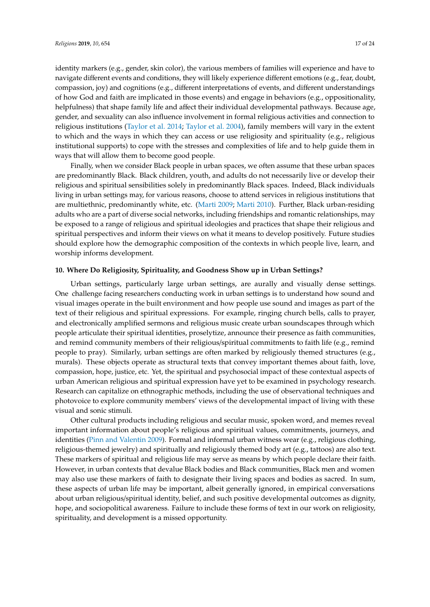identity markers (e.g., gender, skin color), the various members of families will experience and have to navigate different events and conditions, they will likely experience different emotions (e.g., fear, doubt, compassion, joy) and cognitions (e.g., different interpretations of events, and different understandings of how God and faith are implicated in those events) and engage in behaviors (e.g., oppositionality, helpfulness) that shape family life and affect their individual developmental pathways. Because age, gender, and sexuality can also influence involvement in formal religious activities and connection to religious institutions [\(Taylor et al.](#page-22-3) [2014;](#page-22-3) [Taylor et al.](#page-22-2) [2004\)](#page-22-2), family members will vary in the extent to which and the ways in which they can access or use religiosity and spirituality (e.g., religious institutional supports) to cope with the stresses and complexities of life and to help guide them in ways that will allow them to become good people.

Finally, when we consider Black people in urban spaces, we often assume that these urban spaces are predominantly Black. Black children, youth, and adults do not necessarily live or develop their religious and spiritual sensibilities solely in predominantly Black spaces. Indeed, Black individuals living in urban settings may, for various reasons, choose to attend services in religious institutions that are multiethnic, predominantly white, etc. [\(Marti](#page-20-22) [2009;](#page-20-22) [Marti](#page-20-23) [2010\)](#page-20-23). Further, Black urban-residing adults who are a part of diverse social networks, including friendships and romantic relationships, may be exposed to a range of religious and spiritual ideologies and practices that shape their religious and spiritual perspectives and inform their views on what it means to develop positively. Future studies should explore how the demographic composition of the contexts in which people live, learn, and worship informs development.

#### **10. Where Do Religiosity, Spirituality, and Goodness Show up in Urban Settings?**

Urban settings, particularly large urban settings, are aurally and visually dense settings. One challenge facing researchers conducting work in urban settings is to understand how sound and visual images operate in the built environment and how people use sound and images as part of the text of their religious and spiritual expressions. For example, ringing church bells, calls to prayer, and electronically amplified sermons and religious music create urban soundscapes through which people articulate their spiritual identities, proselytize, announce their presence as faith communities, and remind community members of their religious/spiritual commitments to faith life (e.g., remind people to pray). Similarly, urban settings are often marked by religiously themed structures (e.g., murals). These objects operate as structural texts that convey important themes about faith, love, compassion, hope, justice, etc. Yet, the spiritual and psychosocial impact of these contextual aspects of urban American religious and spiritual expression have yet to be examined in psychology research. Research can capitalize on ethnographic methods, including the use of observational techniques and photovoice to explore community members' views of the developmental impact of living with these visual and sonic stimuli.

Other cultural products including religious and secular music, spoken word, and memes reveal important information about people's religious and spiritual values, commitments, journeys, and identities [\(Pinn and Valentin](#page-22-21) [2009\)](#page-22-21). Formal and informal urban witness wear (e.g., religious clothing, religious-themed jewelry) and spiritually and religiously themed body art (e.g., tattoos) are also text. These markers of spiritual and religious life may serve as means by which people declare their faith. However, in urban contexts that devalue Black bodies and Black communities, Black men and women may also use these markers of faith to designate their living spaces and bodies as sacred. In sum, these aspects of urban life may be important, albeit generally ignored, in empirical conversations about urban religious/spiritual identity, belief, and such positive developmental outcomes as dignity, hope, and sociopolitical awareness. Failure to include these forms of text in our work on religiosity, spirituality, and development is a missed opportunity.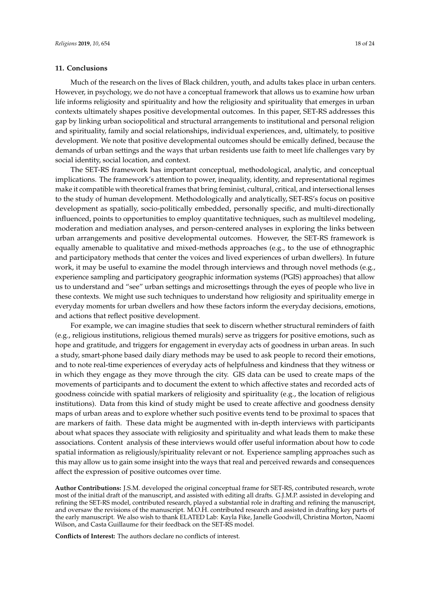#### **11. Conclusions**

Much of the research on the lives of Black children, youth, and adults takes place in urban centers. However, in psychology, we do not have a conceptual framework that allows us to examine how urban life informs religiosity and spirituality and how the religiosity and spirituality that emerges in urban contexts ultimately shapes positive developmental outcomes. In this paper, SET-RS addresses this gap by linking urban sociopolitical and structural arrangements to institutional and personal religion and spirituality, family and social relationships, individual experiences, and, ultimately, to positive development. We note that positive developmental outcomes should be emically defined, because the demands of urban settings and the ways that urban residents use faith to meet life challenges vary by social identity, social location, and context.

The SET-RS framework has important conceptual, methodological, analytic, and conceptual implications. The framework's attention to power, inequality, identity, and representational regimes make it compatible with theoretical frames that bring feminist, cultural, critical, and intersectional lenses to the study of human development. Methodologically and analytically, SET-RS's focus on positive development as spatially, socio-politically embedded, personally specific, and multi-directionally influenced, points to opportunities to employ quantitative techniques, such as multilevel modeling, moderation and mediation analyses, and person-centered analyses in exploring the links between urban arrangements and positive developmental outcomes. However, the SET-RS framework is equally amenable to qualitative and mixed-methods approaches (e.g., to the use of ethnographic and participatory methods that center the voices and lived experiences of urban dwellers). In future work, it may be useful to examine the model through interviews and through novel methods (e.g., experience sampling and participatory geographic information systems (PGIS) approaches) that allow us to understand and "see" urban settings and microsettings through the eyes of people who live in these contexts. We might use such techniques to understand how religiosity and spirituality emerge in everyday moments for urban dwellers and how these factors inform the everyday decisions, emotions, and actions that reflect positive development.

For example, we can imagine studies that seek to discern whether structural reminders of faith (e.g., religious institutions, religious themed murals) serve as triggers for positive emotions, such as hope and gratitude, and triggers for engagement in everyday acts of goodness in urban areas. In such a study, smart-phone based daily diary methods may be used to ask people to record their emotions, and to note real-time experiences of everyday acts of helpfulness and kindness that they witness or in which they engage as they move through the city. GIS data can be used to create maps of the movements of participants and to document the extent to which affective states and recorded acts of goodness coincide with spatial markers of religiosity and spirituality (e.g., the location of religious institutions). Data from this kind of study might be used to create affective and goodness density maps of urban areas and to explore whether such positive events tend to be proximal to spaces that are markers of faith. These data might be augmented with in-depth interviews with participants about what spaces they associate with religiosity and spirituality and what leads them to make these associations. Content analysis of these interviews would offer useful information about how to code spatial information as religiously/spirituality relevant or not. Experience sampling approaches such as this may allow us to gain some insight into the ways that real and perceived rewards and consequences affect the expression of positive outcomes over time.

**Author Contributions:** J.S.M. developed the original conceptual frame for SET-RS, contributed research, wrote most of the initial draft of the manuscript, and assisted with editing all drafts. G.J.M.P. assisted in developing and refining the SET-RS model, contributed research, played a substantial role in drafting and refining the manuscript, and oversaw the revisions of the manuscript. M.O.H. contributed research and assisted in drafting key parts of the early manuscript. We also wish to thank ELATED Lab: Kayla Fike, Janelle Goodwill, Christina Morton, Naomi Wilson, and Casta Guillaume for their feedback on the SET-RS model.

**Conflicts of Interest:** The authors declare no conflicts of interest.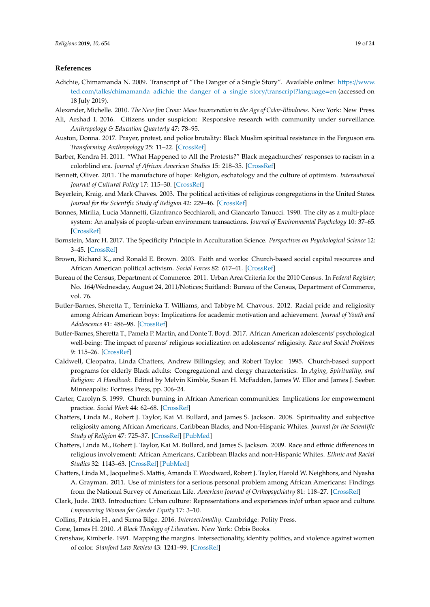#### **References**

- <span id="page-18-0"></span>Adichie, Chimamanda N. 2009. Transcript of "The Danger of a Single Story". Available online: https://[www.](https://www.ted.com/talks/chimamanda_adichie_the_danger_of_a_single_story/transcript?language=en) ted.com/talks/[chimamanda\\_adichie\\_the\\_danger\\_of\\_a\\_single\\_story](https://www.ted.com/talks/chimamanda_adichie_the_danger_of_a_single_story/transcript?language=en)/transcript?language=en (accessed on 18 July 2019).
- <span id="page-18-9"></span>Alexander, Michelle. 2010. *The New Jim Crow: Mass Incarceration in the Age of Color-Blindness*. New York: New Press.
- <span id="page-18-13"></span>Ali, Arshad I. 2016. Citizens under suspicion: Responsive research with community under surveillance. *Anthropology & Education Quarterly* 47: 78–95.
- <span id="page-18-15"></span>Auston, Donna. 2017. Prayer, protest, and police brutality: Black Muslim spiritual resistance in the Ferguson era. *Transforming Anthropology* 25: 11–22. [\[CrossRef\]](http://dx.doi.org/10.1111/traa.12095)
- <span id="page-18-16"></span>Barber, Kendra H. 2011. "What Happened to All the Protests?" Black megachurches' responses to racism in a colorblind era. *Journal of African American Studies* 15: 218–35. [\[CrossRef\]](http://dx.doi.org/10.1007/s12111-010-9154-x)
- <span id="page-18-19"></span>Bennett, Oliver. 2011. The manufacture of hope: Religion, eschatology and the culture of optimism. *International Journal of Cultural Policy* 17: 115–30. [\[CrossRef\]](http://dx.doi.org/10.1080/10286632.2010.543462)
- <span id="page-18-11"></span>Beyerlein, Kraig, and Mark Chaves. 2003. The political activities of religious congregations in the United States. *Journal for the Scientific Study of Religion* 42: 229–46. [\[CrossRef\]](http://dx.doi.org/10.1111/1468-5906.00175)
- <span id="page-18-20"></span>Bonnes, Mirilia, Lucia Mannetti, Gianfranco Secchiaroli, and Giancarlo Tanucci. 1990. The city as a multi-place system: An analysis of people-urban environment transactions. *Journal of Environmental Psychology* 10: 37–65. [\[CrossRef\]](http://dx.doi.org/10.1016/S0272-4944(05)80023-4)
- <span id="page-18-8"></span>Bornstein, Marc H. 2017. The Specificity Principle in Acculturation Science. *Perspectives on Psychological Science* 12: 3–45. [\[CrossRef\]](http://dx.doi.org/10.1177/1745691616655997)
- <span id="page-18-1"></span>Brown, Richard K., and Ronald E. Brown. 2003. Faith and works: Church-based social capital resources and African American political activism. *Social Forces* 82: 617–41. [\[CrossRef\]](http://dx.doi.org/10.1353/sof.2004.0005)
- <span id="page-18-3"></span>Bureau of the Census, Department of Commerce. 2011. Urban Area Criteria for the 2010 Census. In *Federal Register*; No. 164/Wednesday, August 24, 2011/Notices; Suitland: Bureau of the Census, Department of Commerce, vol. 76.
- <span id="page-18-10"></span>Butler-Barnes, Sheretta T., Terrinieka T. Williams, and Tabbye M. Chavous. 2012. Racial pride and religiosity among African American boys: Implications for academic motivation and achievement. *Journal of Youth and Adolescence* 41: 486–98. [\[CrossRef\]](http://dx.doi.org/10.1007/s10964-011-9675-1)
- <span id="page-18-17"></span>Butler-Barnes, Sheretta T., Pamela P. Martin, and Donte T. Boyd. 2017. African American adolescents' psychological well-being: The impact of parents' religious socialization on adolescents' religiosity. *Race and Social Problems* 9: 115–26. [\[CrossRef\]](http://dx.doi.org/10.1007/s12552-017-9199-8)
- <span id="page-18-12"></span>Caldwell, Cleopatra, Linda Chatters, Andrew Billingsley, and Robert Taylor. 1995. Church-based support programs for elderly Black adults: Congregational and clergy characteristics. In *Aging, Spirituality, and Religion: A Handbook*. Edited by Melvin Kimble, Susan H. McFadden, James W. Ellor and James J. Seeber. Minneapolis: Fortress Press, pp. 306–24.
- <span id="page-18-14"></span>Carter, Carolyn S. 1999. Church burning in African American communities: Implications for empowerment practice. *Social Work* 44: 62–68. [\[CrossRef\]](http://dx.doi.org/10.1093/sw/44.1.62)
- <span id="page-18-6"></span>Chatters, Linda M., Robert J. Taylor, Kai M. Bullard, and James S. Jackson. 2008. Spirituality and subjective religiosity among African Americans, Caribbean Blacks, and Non-Hispanic Whites. *Journal for the Scientific Study of Religion* 47: 725–37. [\[CrossRef\]](http://dx.doi.org/10.1111/j.1468-5906.2008.00437.x) [\[PubMed\]](http://www.ncbi.nlm.nih.gov/pubmed/21052481)
- <span id="page-18-21"></span>Chatters, Linda M., Robert J. Taylor, Kai M. Bullard, and James S. Jackson. 2009. Race and ethnic differences in religious involvement: African Americans, Caribbean Blacks and non-Hispanic Whites. *Ethnic and Racial Studies* 32: 1143–63. [\[CrossRef\]](http://dx.doi.org/10.1080/01419870802334531) [\[PubMed\]](http://www.ncbi.nlm.nih.gov/pubmed/20975850)
- <span id="page-18-18"></span>Chatters, Linda M., Jacqueline S. Mattis, Amanda T. Woodward, Robert J. Taylor, Harold W. Neighbors, and Nyasha A. Grayman. 2011. Use of ministers for a serious personal problem among African Americans: Findings from the National Survey of American Life. *American Journal of Orthopsychiatry* 81: 118–27. [\[CrossRef\]](http://dx.doi.org/10.1111/j.1939-0025.2010.01079.x)
- <span id="page-18-4"></span>Clark, Jude. 2003. Introduction: Urban culture: Representations and experiences in/of urban space and culture. *Empowering Women for Gender Equity* 17: 3–10.
- <span id="page-18-5"></span>Collins, Patricia H., and Sirma Bilge. 2016. *Intersectionality*. Cambridge: Polity Press.
- <span id="page-18-2"></span>Cone, James H. 2010. *A Black Theology of Liberation*. New York: Orbis Books.
- <span id="page-18-7"></span>Crenshaw, Kimberle. 1991. Mapping the margins. Intersectionality, identity politics, and violence against women of color. *Stanford Law Review* 43: 1241–99. [\[CrossRef\]](http://dx.doi.org/10.2307/1229039)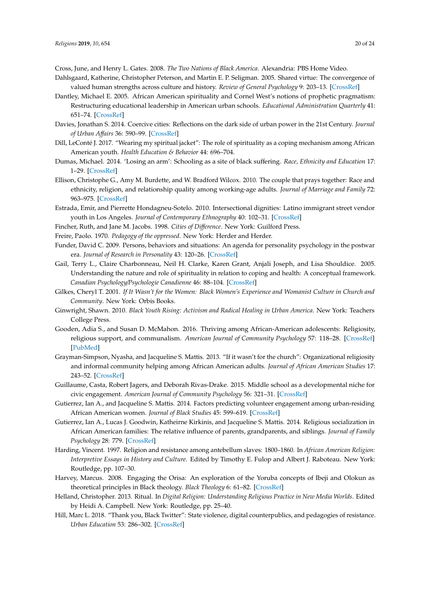<span id="page-19-16"></span>Cross, June, and Henry L. Gates. 2008. *The Two Nations of Black America*. Alexandria: PBS Home Video.

- <span id="page-19-21"></span>Dahlsgaard, Katherine, Christopher Peterson, and Martin E. P. Seligman. 2005. Shared virtue: The convergence of valued human strengths across culture and history. *Review of General Psychology* 9: 203–13. [\[CrossRef\]](http://dx.doi.org/10.1037/1089-2680.9.3.203)
- <span id="page-19-20"></span>Dantley, Michael E. 2005. African American spirituality and Cornel West's notions of prophetic pragmatism: Restructuring educational leadership in American urban schools. *Educational Administration Quarterly* 41: 651–74. [\[CrossRef\]](http://dx.doi.org/10.1177/0013161X04274274)
- <span id="page-19-4"></span>Davies, Jonathan S. 2014. Coercive cities: Reflections on the dark side of urban power in the 21st Century. *Journal of Urban A*ff*airs* 36: 590–99. [\[CrossRef\]](http://dx.doi.org/10.1111/juaf.12147)
- <span id="page-19-19"></span>Dill, LeConté J. 2017. "Wearing my spiritual jacket": The role of spirituality as a coping mechanism among African American youth. *Health Education & Behavior* 44: 696–704.
- <span id="page-19-8"></span>Dumas, Michael. 2014. 'Losing an arm': Schooling as a site of black suffering. *Race, Ethnicity and Education* 17: 1–29. [\[CrossRef\]](http://dx.doi.org/10.1080/13613324.2013.850412)
- <span id="page-19-18"></span>Ellison, Christophe G., Amy M. Burdette, and W. Bradford Wilcox. 2010. The couple that prays together: Race and ethnicity, religion, and relationship quality among working-age adults. *Journal of Marriage and Family* 72: 963–975. [\[CrossRef\]](http://dx.doi.org/10.1111/j.1741-3737.2010.00742.x)
- <span id="page-19-5"></span>Estrada, Emir, and Pierrette Hondagneu-Sotelo. 2010. Intersectional dignities: Latino immigrant street vendor youth in Los Angeles. *Journal of Contemporary Ethnography* 40: 102–31. [\[CrossRef\]](http://dx.doi.org/10.1177/0891241610387926)
- <span id="page-19-1"></span>Fincher, Ruth, and Jane M. Jacobs. 1998. *Cities of Di*ff*erence*. New York: Guilford Press.
- <span id="page-19-6"></span><span id="page-19-2"></span>Freire, Paolo. 1970. *Pedagogy of the oppressed*. New York: Herder and Herder.
- Funder, David C. 2009. Persons, behaviors and situations: An agenda for personality psychology in the postwar era. *Journal of Research in Personality* 43: 120–26. [\[CrossRef\]](http://dx.doi.org/10.1016/j.jrp.2008.12.041)
- <span id="page-19-7"></span>Gail, Terry L., Claire Charbonneau, Neil H. Clarke, Karen Grant, Anjali Joseph, and Lisa Shouldice. 2005. Understanding the nature and role of spirituality in relation to coping and health: A conceptual framework. *Canadian Psychology*/*Psychologie Canadienne* 46: 88–104. [\[CrossRef\]](http://dx.doi.org/10.1037/h0087008)
- <span id="page-19-3"></span>Gilkes, Cheryl T. 2001. *If It Wasn't for the Women: Black Women's Experience and Womanist Culture in Church and Community*. New York: Orbis Books.
- <span id="page-19-10"></span>Ginwright, Shawn. 2010. *Black Youth Rising: Activism and Radical Healing in Urban America*. New York: Teachers College Press.
- <span id="page-19-12"></span>Gooden, Adia S., and Susan D. McMahon. 2016. Thriving among African-American adolescents: Religiosity, religious support, and communalism. *American Journal of Community Psychology* 57: 118–28. [\[CrossRef\]](http://dx.doi.org/10.1002/ajcp.12026) [\[PubMed\]](http://www.ncbi.nlm.nih.gov/pubmed/27217316)
- <span id="page-19-14"></span>Grayman-Simpson, Nyasha, and Jacqueline S. Mattis. 2013. "If it wasn't for the church": Organizational religiosity and informal community helping among African American adults. *Journal of African American Studies* 17: 243–52. [\[CrossRef\]](http://dx.doi.org/10.1007/s12111-012-9213-6)
- <span id="page-19-11"></span>Guillaume, Casta, Robert Jagers, and Deborah Rivas-Drake. 2015. Middle school as a developmental niche for civic engagement. *American Journal of Community Psychology* 56: 321–31. [\[CrossRef\]](http://dx.doi.org/10.1007/s10464-015-9759-2)
- <span id="page-19-13"></span>Gutierrez, Ian A., and Jacqueline S. Mattis. 2014. Factors predicting volunteer engagement among urban-residing African American women. *Journal of Black Studies* 45: 599–619. [\[CrossRef\]](http://dx.doi.org/10.1177/0021934714543189)
- <span id="page-19-17"></span>Gutierrez, Ian A., Lucas J. Goodwin, Katheirne Kirkinis, and Jacqueline S. Mattis. 2014. Religious socialization in African American families: The relative influence of parents, grandparents, and siblings. *Journal of Family Psychology* 28: 779. [\[CrossRef\]](http://dx.doi.org/10.1037/a0035732)
- <span id="page-19-0"></span>Harding, Vincent. 1997. Religion and resistance among antebellum slaves: 1800–1860. In *African American Religion: Interpretive Essays in History and Culture*. Edited by Timothy E. Fulop and Albert J. Raboteau. New York: Routledge, pp. 107–30.
- <span id="page-19-22"></span>Harvey, Marcus. 2008. Engaging the Orisa: An exploration of the Yoruba concepts of Ibeji and Olokun as theoretical principles in Black theology. *Black Theology* 6: 61–82. [\[CrossRef\]](http://dx.doi.org/10.1558/blth2008v6i1.61)
- <span id="page-19-15"></span>Helland, Christopher. 2013. Ritual. In *Digital Religion: Understanding Religious Practice in New Media Worlds*. Edited by Heidi A. Campbell. New York: Routledge, pp. 25–40.
- <span id="page-19-9"></span>Hill, Marc L. 2018. "Thank you, Black Twitter": State violence, digital counterpublics, and pedagogies of resistance. *Urban Education* 53: 286–302. [\[CrossRef\]](http://dx.doi.org/10.1177/0042085917747124)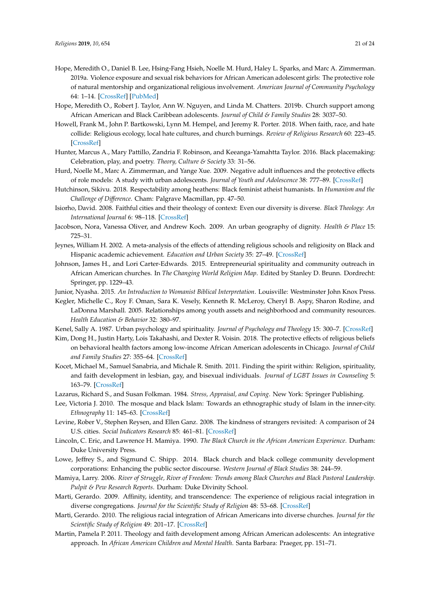- <span id="page-20-0"></span>Hope, Meredith O., Daniel B. Lee, Hsing-Fang Hsieh, Noelle M. Hurd, Haley L. Sparks, and Marc A. Zimmerman. 2019a. Violence exposure and sexual risk behaviors for African American adolescent girls: The protective role of natural mentorship and organizational religious involvement. *American Journal of Community Psychology* 64: 1–14. [\[CrossRef\]](http://dx.doi.org/10.1002/ajcp.12341) [\[PubMed\]](http://www.ncbi.nlm.nih.gov/pubmed/31206754)
- <span id="page-20-1"></span>Hope, Meredith O., Robert J. Taylor, Ann W. Nguyen, and Linda M. Chatters. 2019b. Church support among African American and Black Caribbean adolescents. *Journal of Child & Family Studies* 28: 3037–50.
- <span id="page-20-17"></span>Howell, Frank M., John P. Bartkowski, Lynn M. Hempel, and Jeremy R. Porter. 2018. When faith, race, and hate collide: Religious ecology, local hate cultures, and church burnings. *Review of Religious Research* 60: 223–45. [\[CrossRef\]](http://dx.doi.org/10.1007/s13644-017-0322-5)
- <span id="page-20-10"></span>Hunter, Marcus A., Mary Pattillo, Zandria F. Robinson, and Keeanga-Yamahtta Taylor. 2016. Black placemaking: Celebration, play, and poetry. *Theory, Culture & Society* 33: 31–56.
- <span id="page-20-11"></span>Hurd, Noelle M., Marc A. Zimmerman, and Yange Xue. 2009. Negative adult influences and the protective effects of role models: A study with urban adolescents. *Journal of Youth and Adolescence* 38: 777–89. [\[CrossRef\]](http://dx.doi.org/10.1007/s10964-008-9296-5)
- <span id="page-20-20"></span>Hutchinson, Sikivu. 2018. Respectability among heathens: Black feminist atheist humanists. In *Humanism and the Challenge of Di*ff*erence*. Cham: Palgrave Macmillan, pp. 47–50.
- <span id="page-20-5"></span>Isiorho, David. 2008. Faithful cities and their theology of context: Even our diversity is diverse. *Black Theology: An International Journal* 6: 98–118. [\[CrossRef\]](http://dx.doi.org/10.1558/blth2008v6i1.98)
- <span id="page-20-9"></span>Jacobson, Nora, Vanessa Oliver, and Andrew Koch. 2009. An urban geography of dignity. *Health & Place* 15: 725–31.
- <span id="page-20-14"></span>Jeynes, William H. 2002. A meta-analysis of the effects of attending religious schools and religiosity on Black and Hispanic academic achievement. *Education and Urban Society* 35: 27–49. [\[CrossRef\]](http://dx.doi.org/10.1177/001312402237213)
- <span id="page-20-15"></span>Johnson, James H., and Lori Carter-Edwards. 2015. Entrepreneurial spirituality and community outreach in African American churches. In *The Changing World Religion Map*. Edited by Stanley D. Brunn. Dordrecht: Springer, pp. 1229–43.
- <span id="page-20-21"></span><span id="page-20-6"></span>Junior, Nyasha. 2015. *An Introduction to Womanist Biblical Interpretation*. Louisville: Westminster John Knox Press.
- Kegler, Michelle C., Roy F. Oman, Sara K. Vesely, Kenneth R. McLeroy, Cheryl B. Aspy, Sharon Rodine, and LaDonna Marshall. 2005. Relationships among youth assets and neighborhood and community resources. *Health Education & Behavior* 32: 380–97.
- <span id="page-20-4"></span>Kenel, Sally A. 1987. Urban psychology and spirituality. *Journal of Psychology and Theology* 15: 300–7. [\[CrossRef\]](http://dx.doi.org/10.1177/009164718701500405)
- <span id="page-20-12"></span>Kim, Dong H., Justin Harty, Lois Takahashi, and Dexter R. Voisin. 2018. The protective effects of religious beliefs on behavioral health factors among low-income African American adolescents in Chicago. *Journal of Child and Family Studies* 27: 355–64. [\[CrossRef\]](http://dx.doi.org/10.1007/s10826-017-0891-5)
- <span id="page-20-19"></span>Kocet, Michael M., Samuel Sanabria, and Michale R. Smith. 2011. Finding the spirit within: Religion, spirituality, and faith development in lesbian, gay, and bisexual individuals. *Journal of LGBT Issues in Counseling* 5: 163–79. [\[CrossRef\]](http://dx.doi.org/10.1080/15538605.2011.633060)
- <span id="page-20-8"></span>Lazarus, Richard S., and Susan Folkman. 1984. *Stress, Appraisal, and Coping*. New York: Springer Publishing.
- <span id="page-20-18"></span>Lee, Victoria J. 2010. The mosque and black Islam: Towards an ethnographic study of Islam in the inner-city. *Ethnography* 11: 145–63. [\[CrossRef\]](http://dx.doi.org/10.1177/1466138109347002)
- <span id="page-20-3"></span>Levine, Rober V., Stephen Reysen, and Ellen Ganz. 2008. The kindness of strangers revisited: A comparison of 24 U.S. cities. *Social Indicators Research* 85: 461–81. [\[CrossRef\]](http://dx.doi.org/10.1007/s11205-007-9091-9)
- <span id="page-20-2"></span>Lincoln, C. Eric, and Lawrence H. Mamiya. 1990. *The Black Church in the African American Experience*. Durham: Duke University Press.
- <span id="page-20-13"></span>Lowe, Jeffrey S., and Sigmund C. Shipp. 2014. Black church and black college community development corporations: Enhancing the public sector discourse. *Western Journal of Black Studies* 38: 244–59.
- <span id="page-20-16"></span>Mamiya, Larry. 2006. *River of Struggle, River of Freedom: Trends among Black Churches and Black Pastoral Leadership. Pulpit & Pew Research Reports*. Durham: Duke Divinity School.
- <span id="page-20-22"></span>Marti, Gerardo. 2009. Affinity, identity, and transcendence: The experience of religious racial integration in diverse congregations. *Journal for the Scientific Study of Religion* 48: 53–68. [\[CrossRef\]](http://dx.doi.org/10.1111/j.1468-5906.2009.01429.x)
- <span id="page-20-23"></span>Marti, Gerardo. 2010. The religious racial integration of African Americans into diverse churches. *Journal for the Scientific Study of Religion* 49: 201–17. [\[CrossRef\]](http://dx.doi.org/10.1111/j.1468-5906.2010.01503.x)
- <span id="page-20-7"></span>Martin, Pamela P. 2011. Theology and faith development among African American adolescents: An integrative approach. In *African American Children and Mental Health*. Santa Barbara: Praeger, pp. 151–71.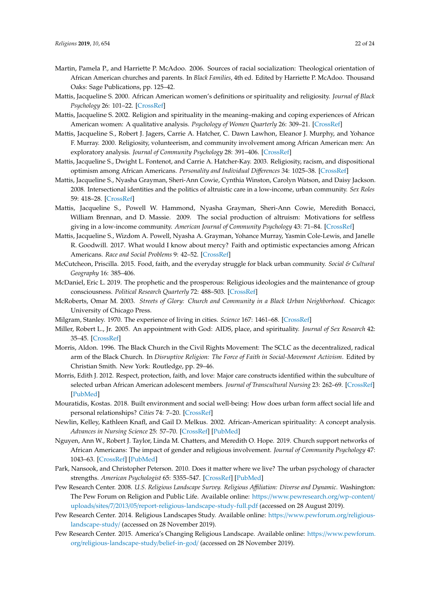- <span id="page-21-8"></span>Martin, Pamela P., and Harriette P. McAdoo. 2006. Sources of racial socialization: Theological orientation of African American churches and parents. In *Black Families*, 4th ed. Edited by Harriette P. McAdoo. Thousand Oaks: Sage Publications, pp. 125–42.
- <span id="page-21-7"></span>Mattis, Jacqueline S. 2000. African American women's definitions or spirituality and religiosity. *Journal of Black Psychology* 26: 101–22. [\[CrossRef\]](http://dx.doi.org/10.1177/0095798400026001006)
- <span id="page-21-5"></span>Mattis, Jacqueline S. 2002. Religion and spirituality in the meaning–making and coping experiences of African American women: A qualitative analysis. *Psychology of Women Quarterly* 26: 309–21. [\[CrossRef\]](http://dx.doi.org/10.1111/1471-6402.t01-2-00070)
- <span id="page-21-14"></span>Mattis, Jacqueline S., Robert J. Jagers, Carrie A. Hatcher, C. Dawn Lawhon, Eleanor J. Murphy, and Yohance F. Murray. 2000. Religiosity, volunteerism, and community involvement among African American men: An exploratory analysis. *Journal of Community Psychology* 28: 391–406. [\[CrossRef\]](http://dx.doi.org/10.1002/1520-6629(200007)28:4<391::AID-JCOP2>3.0.CO;2-A)
- <span id="page-21-15"></span>Mattis, Jacqueline S., Dwight L. Fontenot, and Carrie A. Hatcher-Kay. 2003. Religiosity, racism, and dispositional optimism among African Americans. *Personality and Individual Di*ff*erences* 34: 1025–38. [\[CrossRef\]](http://dx.doi.org/10.1016/S0191-8869(02)00087-9)
- <span id="page-21-12"></span>Mattis, Jacqueline S., Nyasha Grayman, Sheri-Ann Cowie, Cynthia Winston, Carolyn Watson, and Daisy Jackson. 2008. Intersectional identities and the politics of altruistic care in a low-income, urban community. *Sex Roles* 59: 418–28. [\[CrossRef\]](http://dx.doi.org/10.1007/s11199-008-9426-2)
- <span id="page-21-13"></span>Mattis, Jacqueline S., Powell W. Hammond, Nyasha Grayman, Sheri-Ann Cowie, Meredith Bonacci, William Brennan, and D. Massie. 2009. The social production of altruism: Motivations for selfless giving in a low-income community. *American Journal of Community Psychology* 43: 71–84. [\[CrossRef\]](http://dx.doi.org/10.1007/s10464-008-9217-5)
- <span id="page-21-16"></span>Mattis, Jacqueline S., Wizdom A. Powell, Nyasha A. Grayman, Yohance Murray, Yasmin Cole-Lewis, and Janelle R. Goodwill. 2017. What would I know about mercy? Faith and optimistic expectancies among African Americans. *Race and Social Problems* 9: 42–52. [\[CrossRef\]](http://dx.doi.org/10.1007/s12552-016-9190-9)
- <span id="page-21-17"></span>McCutcheon, Priscilla. 2015. Food, faith, and the everyday struggle for black urban community. *Social & Cultural Geography* 16: 385–406.
- <span id="page-21-20"></span>McDaniel, Eric L. 2019. The prophetic and the prosperous: Religious ideologies and the maintenance of group consciousness. *Political Research Quarterly* 72: 488–503. [\[CrossRef\]](http://dx.doi.org/10.1177/1065912918796337)
- <span id="page-21-18"></span>McRoberts, Omar M. 2003. *Streets of Glory: Church and Community in a Black Urban Neighborhood*. Chicago: University of Chicago Press.
- <span id="page-21-10"></span>Milgram, Stanley. 1970. The experience of living in cities. *Science* 167: 1461–68. [\[CrossRef\]](http://dx.doi.org/10.1126/science.167.3924.1461)
- <span id="page-21-0"></span>Miller, Robert L., Jr. 2005. An appointment with God: AIDS, place, and spirituality. *Journal of Sex Research* 42: 35–45. [\[CrossRef\]](http://dx.doi.org/10.1080/00224490509552255)
- <span id="page-21-19"></span>Morris, Aldon. 1996. The Black Church in the Civil Rights Movement: The SCLC as the decentralized, radical arm of the Black Church. In *Disruptive Religion: The Force of Faith in Social-Movement Activism*. Edited by Christian Smith. New York: Routledge, pp. 29–46.
- <span id="page-21-11"></span>Morris, Edith J. 2012. Respect, protection, faith, and love: Major care constructs identified within the subculture of selected urban African American adolescent members. *Journal of Transcultural Nursing* 23: 262–69. [\[CrossRef\]](http://dx.doi.org/10.1177/1043659612441014) [\[PubMed\]](http://www.ncbi.nlm.nih.gov/pubmed/22477722)
- <span id="page-21-1"></span>Mouratidis, Kostas. 2018. Built environment and social well-being: How does urban form affect social life and personal relationships? *Cities* 74: 7–20. [\[CrossRef\]](http://dx.doi.org/10.1016/j.cities.2017.10.020)
- <span id="page-21-6"></span>Newlin, Kelley, Kathleen Knafl, and Gail D. Melkus. 2002. African-American spirituality: A concept analysis. *Advances in Nursing Science* 25: 57–70. [\[CrossRef\]](http://dx.doi.org/10.1097/00012272-200212000-00005) [\[PubMed\]](http://www.ncbi.nlm.nih.gov/pubmed/12484641)
- <span id="page-21-21"></span>Nguyen, Ann W., Robert J. Taylor, Linda M. Chatters, and Meredith O. Hope. 2019. Church support networks of African Americans: The impact of gender and religious involvement. *Journal of Community Psychology* 47: 1043–63. [\[CrossRef\]](http://dx.doi.org/10.1002/jcop.22171) [\[PubMed\]](http://www.ncbi.nlm.nih.gov/pubmed/30810239)
- <span id="page-21-9"></span>Park, Nansook, and Christopher Peterson. 2010. Does it matter where we live? The urban psychology of character strengths. *American Psychologist* 65: 5355–547. [\[CrossRef\]](http://dx.doi.org/10.1037/a0019621) [\[PubMed\]](http://www.ncbi.nlm.nih.gov/pubmed/20822195)
- <span id="page-21-4"></span>Pew Research Center. 2008. *U.S. Religious Landscape Survey. Religious A*ffi*liation: Diverse and Dynamic*. Washington: The Pew Forum on Religion and Public Life. Available online: https://[www.pewresearch.org](https://www.pewresearch.org/wp-content/uploads/sites/7/2013/05/report-religious-landscape-study-full.pdf)/wp-content/ uploads/sites/7/2013/05/[report-religious-landscape-study-full.pdf](https://www.pewresearch.org/wp-content/uploads/sites/7/2013/05/report-religious-landscape-study-full.pdf) (accessed on 28 August 2019).
- <span id="page-21-2"></span>Pew Research Center. 2014. Religious Landscapes Study. Available online: https://[www.pewforum.org](https://www.pewforum.org/religious-landscape-study/)/religious[landscape-study](https://www.pewforum.org/religious-landscape-study/)/ (accessed on 28 November 2019).
- <span id="page-21-3"></span>Pew Research Center. 2015. America's Changing Religious Landscape. Available online: https://[www.pewforum.](https://www.pewforum.org/religious-landscape-study/belief-in-god/) org/[religious-landscape-study](https://www.pewforum.org/religious-landscape-study/belief-in-god/)/belief-in-god/ (accessed on 28 November 2019).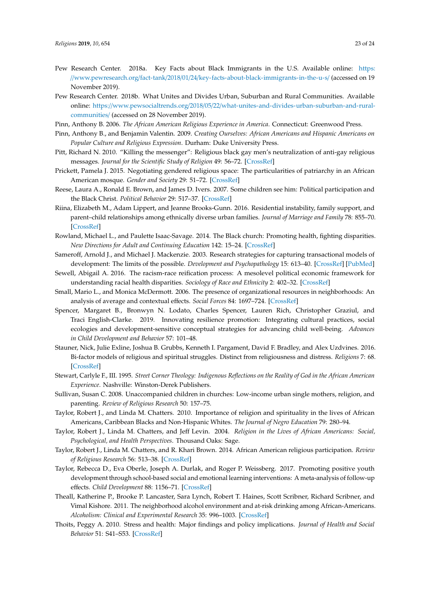- <span id="page-22-20"></span>Pew Research Center. 2018a. Key Facts about Black Immigrants in the U.S. Available online: [https:](https://www.pewresearch.org/fact-tank/2018/01/24/key-facts-about-black-immigrants-in-the-u-s/) //www.pewresearch.org/fact-tank/2018/01/24/[key-facts-about-black-immigrants-in-the-u-s](https://www.pewresearch.org/fact-tank/2018/01/24/key-facts-about-black-immigrants-in-the-u-s/)/ (accessed on 19 November 2019).
- <span id="page-22-1"></span>Pew Research Center. 2018b. What Unites and Divides Urban, Suburban and Rural Communities. Available online: https://www.pewsocialtrends.org/2018/05/22/[what-unites-and-divides-urban-suburban-and-rural](https://www.pewsocialtrends.org/2018/05/22/what-unites-and-divides-urban-suburban-and-rural-communities/)[communities](https://www.pewsocialtrends.org/2018/05/22/what-unites-and-divides-urban-suburban-and-rural-communities/)/ (accessed on 28 November 2019).
- <span id="page-22-21"></span><span id="page-22-19"></span>Pinn, Anthony B. 2006. *The African American Religious Experience in America*. Connecticut: Greenwood Press.
- Pinn, Anthony B., and Benjamin Valentin. 2009. *Creating Ourselves: African Americans and Hispanic Americans on Popular Culture and Religious Expression*. Durham: Duke University Press.
- <span id="page-22-16"></span>Pitt, Richard N. 2010. "Killing the messenger": Religious black gay men's neutralization of anti-gay religious messages. *Journal for the Scientific Study of Religion* 49: 56–72. [\[CrossRef\]](http://dx.doi.org/10.1111/j.1468-5906.2009.01492.x)
- <span id="page-22-17"></span>Prickett, Pamela J. 2015. Negotiating gendered religious space: The particularities of patriarchy in an African American mosque. *Gender and Society* 29: 51–72. [\[CrossRef\]](http://dx.doi.org/10.1177/0891243214546934)
- <span id="page-22-15"></span>Reese, Laura A., Ronald E. Brown, and James D. Ivers. 2007. Some children see him: Political participation and the Black Christ. *Political Behavior* 29: 517–37. [\[CrossRef\]](http://dx.doi.org/10.1007/s11109-007-9033-x)
- <span id="page-22-10"></span>Riina, Elizabeth M., Adam Lippert, and Jeanne Brooks-Gunn. 2016. Residential instability, family support, and parent–child relationships among ethnically diverse urban families. *Journal of Marriage and Family* 78: 855–70. [\[CrossRef\]](http://dx.doi.org/10.1111/jomf.12317)
- <span id="page-22-13"></span>Rowland, Michael L., and Paulette Isaac-Savage. 2014. The Black church: Promoting health, fighting disparities. *New Directions for Adult and Continuing Education* 142: 15–24. [\[CrossRef\]](http://dx.doi.org/10.1002/ace.20091)
- <span id="page-22-5"></span>Sameroff, Arnold J., and Michael J. Mackenzie. 2003. Research strategies for capturing transactional models of development: The limits of the possible. *Development and Psychopathology* 15: 613–40. [\[CrossRef\]](http://dx.doi.org/10.1017/S0954579403000312) [\[PubMed\]](http://www.ncbi.nlm.nih.gov/pubmed/14582934)
- <span id="page-22-12"></span>Sewell, Abigail A. 2016. The racism-race reification process: A mesolevel political economic framework for understanding racial health disparities. *Sociology of Race and Ethnicity* 2: 402–32. [\[CrossRef\]](http://dx.doi.org/10.1177/2332649215626936)
- <span id="page-22-6"></span>Small, Mario L., and Monica McDermott. 2006. The presence of organizational resources in neighborhoods: An analysis of average and contextual effects. *Social Forces* 84: 1697–724. [\[CrossRef\]](http://dx.doi.org/10.1353/sof.2006.0067)
- <span id="page-22-8"></span>Spencer, Margaret B., Bronwyn N. Lodato, Charles Spencer, Lauren Rich, Christopher Graziul, and Traci English-Clarke. 2019. Innovating resilience promotion: Integrating cultural practices, social ecologies and development-sensitive conceptual strategies for advancing child well-being. *Advances in Child Development and Behavior* 57: 101–48.
- <span id="page-22-18"></span>Stauner, Nick, Julie Exline, Joshua B. Grubbs, Kenneth I. Pargament, David F. Bradley, and Alex Uzdvines. 2016. Bi-factor models of religious and spiritual struggles. Distinct from religiousness and distress. *Religions* 7: 68. [\[CrossRef\]](http://dx.doi.org/10.3390/rel7060068)
- <span id="page-22-4"></span>Stewart, Carlyle F., III. 1995. *Street Corner Theology: Indigenous Reflections on the Reality of God in the African American Experience*. Nashville: Winston-Derek Publishers.
- <span id="page-22-14"></span>Sullivan, Susan C. 2008. Unaccompanied children in churches: Low-income urban single mothers, religion, and parenting. *Review of Religious Research* 50: 157–75.
- <span id="page-22-0"></span>Taylor, Robert J., and Linda M. Chatters. 2010. Importance of religion and spirituality in the lives of African Americans, Caribbean Blacks and Non-Hispanic Whites. *The Journal of Negro Education* 79: 280–94.
- <span id="page-22-2"></span>Taylor, Robert J., Linda M. Chatters, and Jeff Levin. 2004. *Religion in the Lives of African Americans: Social, Psychological, and Health Perspectives*. Thousand Oaks: Sage.
- <span id="page-22-3"></span>Taylor, Robert J., Linda M. Chatters, and R. Khari Brown. 2014. African American religious participation. *Review of Religious Research* 56: 513–38. [\[CrossRef\]](http://dx.doi.org/10.1007/s13644-013-0144-z)
- <span id="page-22-7"></span>Taylor, Rebecca D., Eva Oberle, Joseph A. Durlak, and Roger P. Weissberg. 2017. Promoting positive youth development through school-based social and emotional learning interventions: A meta-analysis of follow-up effects. *Child Development* 88: 1156–71. [\[CrossRef\]](http://dx.doi.org/10.1111/cdev.12864)
- <span id="page-22-11"></span>Theall, Katherine P., Brooke P. Lancaster, Sara Lynch, Robert T. Haines, Scott Scribner, Richard Scribner, and Vimal Kishore. 2011. The neighborhood alcohol environment and at-risk drinking among African-Americans. *Alcoholism: Clinical and Experimental Research* 35: 996–1003. [\[CrossRef\]](http://dx.doi.org/10.1111/j.1530-0277.2010.01430.x)
- <span id="page-22-9"></span>Thoits, Peggy A. 2010. Stress and health: Major findings and policy implications. *Journal of Health and Social Behavior* 51: S41–S53. [\[CrossRef\]](http://dx.doi.org/10.1177/0022146510383499)